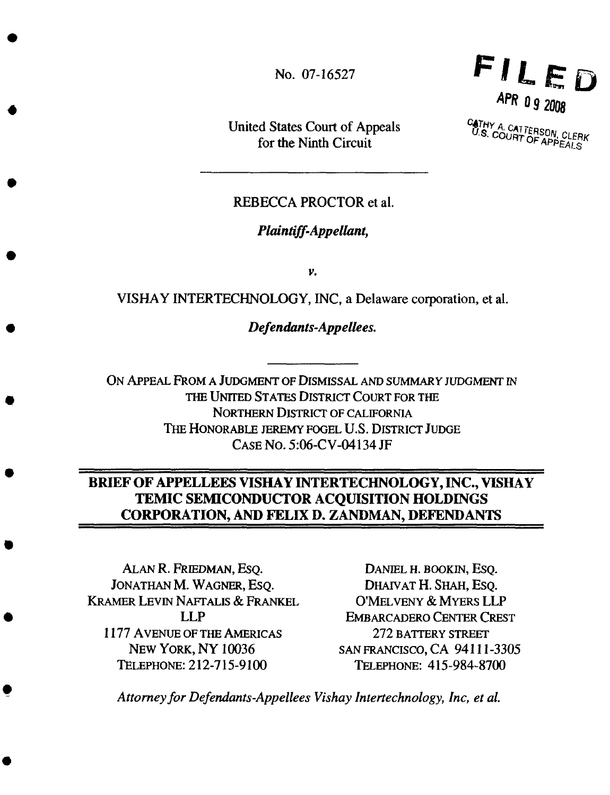No. 07-16527

United States Court of Appeals for the Ninth Circuit



**CATHY A. CATTERSON, CLER**<br>U.S. COURT OF APPEALS

### REBECCA PROCTOR et **al.**

#### *Plaintiff-Appellant,*

 $\nu$ .

VISHAY INTERTECHNOLOGY, INC, a Delaware corporation, et al.

*Defendants-Appellees.*

ON APPEAL FROM A JUDGMENT OF DISMISSAL AND *SUMMARY* JUDGMENT IN THE UNITED STATES DISTRICT COURT FOR THE NORTHERN DISTRICT OF CALIFORNIA THE HONORABLE JEREMY FOGEL U.S. DISTRICT JUDGE CASENO. 5:06-CV-04134 JF

# **BRIEF** OF **APPELLEES VISHAY INTERTECHNOLOGY, INC., VISHAY TEMIC SEMICONDUCTOR ACQUISITION HOLDINGS CORPORATION, AND FELIX D. ZANDMAN, DEFENDANTS**

ALAN R. FRIEDMAN, ESQ. JONATHAN M. WAGNER, ESQ. **KRAMER LEVIN NAFTALIS & FRANKEL** LLP **1177** AVENUE OF THE AMERICAS NEW YORK, NY 10036 TELEPHONE: 212-715-9100

DANmL H. **BOOKIN,** ESQ. DHAIVAT H. SHAH, ESQ. O'MELVENY & MYERS **LLP** EMBARCADERO CENTER CREST 272 **BATrERY** STREET SAN**FRANCISCO,**CA 94111-3305 TELEPHONE:**415-984-8700**

*Attorney for Defendants-Appellees Vishay lntertechnology, lnc, et aL*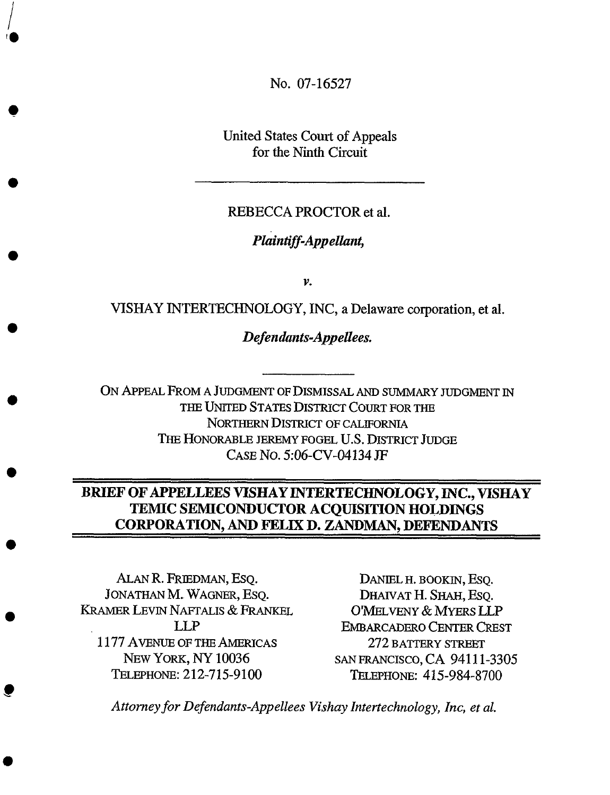No. 07-16527

United States Court of Appeals for the Ninth Circuit

### REBECCA PROCTOR et al.

# *Plaintiff-Appellant,*

 $\mathcal{V}$ .

VISHAY INTERTECHNOLOGY, INC, a Delaware corporation, et **al.**

*Defendants-Appellees.*

ON APPEAL FROM A JUDGMENT OF DISMISSAL *AND* SUMMARY JUDGMENT IN THE UNITED STATES DISTRICT COURT FOR THE NORTHERN DISTRICT OF CALIFORNIA THE HONORABLE JEREMY FOGEL U.S. DISTRICT JUDGE CASE NO. 5:06-CV-04134 JF

# **BRIEF OF APPELLEES VISHAY INTERTECHNOLOGY, INC., VISHA Y TEMIC SEMICONDUCTOR ACQUISITION HOLDINGS CORPORATION, AND FELIX D. ZANDMAN, DEFENDANTS**

ALAN R. FRIEDMAN, ESQ. JONATHAN M. WAGNER, ESQ. KRAMER LEVIN NAFTALIS & FRANKEL LLP 1177 AVENUEOF**THE**AMERICAS NEW YORK, NY 10036 TELEPHONE: 212-715-9100

DANIEL H. BOOKIN, ESQ. DHAIVAT H. SHAH, ESO. O'MELVENY & MYERS *LLP* EMBARCADERO CENTER CREST 272 BATTERY STREET sAN FRANCISCO,CA 94111-3305 **I\_\_LEPHONE:**415-984-8700

*Attorney for Defendants-Appellees Vishay Intertechnology, Inc, et al.*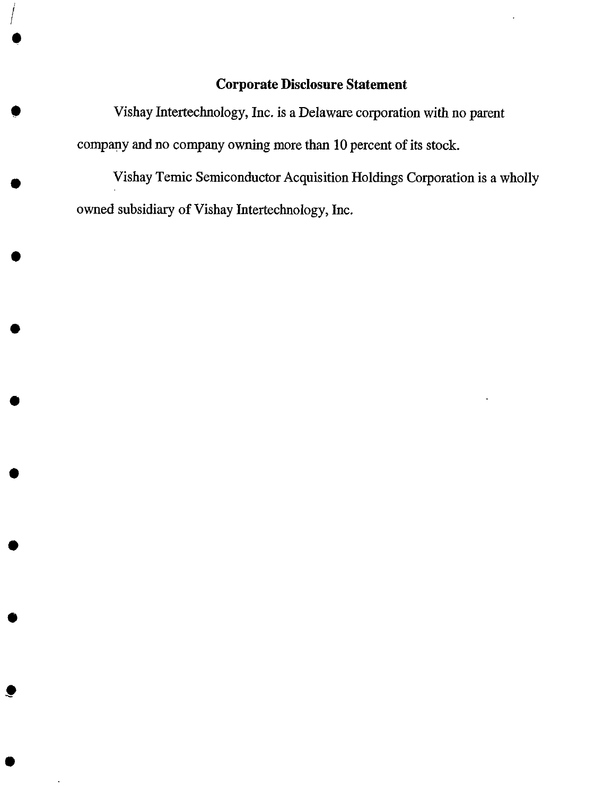## **Corporate Disclosure Statement**

*Vishay Intertechnology,* Inc. **is a** Delaware corporation with **no** parent company and no company owning more than 10 percent of its stock.

*/*

 $\blacksquare$ 

O

Vishay Temic Semiconductor Acquisition Holdings Corporation is a wholly owned subsidiary of Vishay Intertechnology, Inc.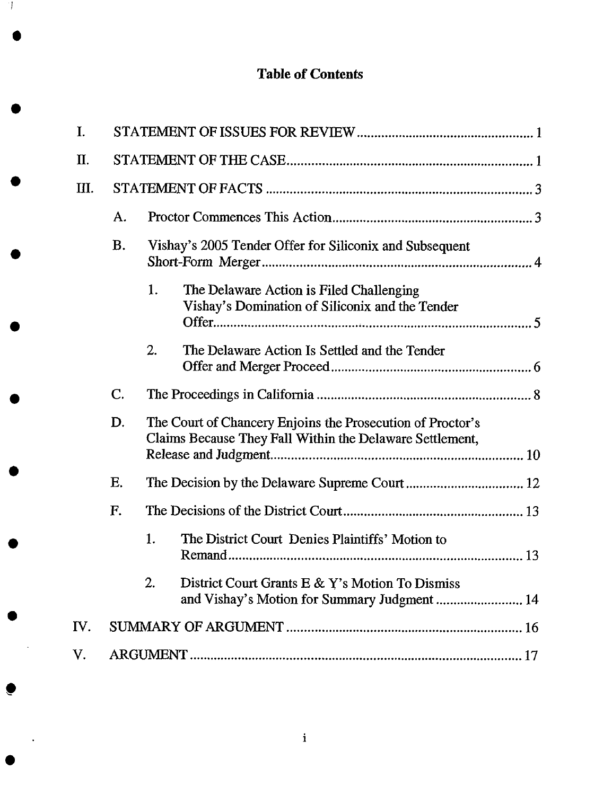# **Table of Contents**

| I.  |             |                                                                                                                        |  |
|-----|-------------|------------------------------------------------------------------------------------------------------------------------|--|
| Π.  |             |                                                                                                                        |  |
| Ш.  |             |                                                                                                                        |  |
|     | A.          |                                                                                                                        |  |
|     | <b>B.</b>   | Vishay's 2005 Tender Offer for Siliconix and Subsequent                                                                |  |
|     |             | 1.<br>The Delaware Action is Filed Challenging<br>Vishay's Domination of Siliconix and the Tender                      |  |
|     |             | 2.<br>The Delaware Action Is Settled and the Tender                                                                    |  |
|     | $C_{\cdot}$ |                                                                                                                        |  |
|     | D.          | The Court of Chancery Enjoins the Prosecution of Proctor's<br>Claims Because They Fall Within the Delaware Settlement, |  |
|     | Ε.          |                                                                                                                        |  |
|     | F.          |                                                                                                                        |  |
|     |             | 1.<br>The District Court Denies Plaintiffs' Motion to                                                                  |  |
|     |             | 2.<br>District Court Grants E & Y's Motion To Dismiss                                                                  |  |
| IV. |             |                                                                                                                        |  |
| V.  |             |                                                                                                                        |  |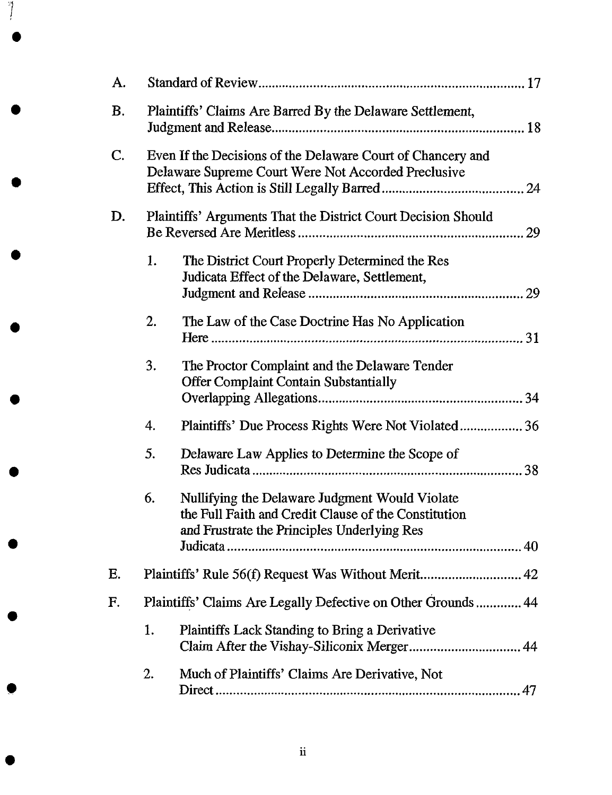| A.        |                                                               |                                                                                                                                                       |    |
|-----------|---------------------------------------------------------------|-------------------------------------------------------------------------------------------------------------------------------------------------------|----|
| <b>B.</b> | Plaintiffs' Claims Are Barred By the Delaware Settlement,     |                                                                                                                                                       |    |
| C.        |                                                               | Even If the Decisions of the Delaware Court of Chancery and<br>Delaware Supreme Court Were Not Accorded Preclusive                                    |    |
| D.        | Plaintiffs' Arguments That the District Court Decision Should |                                                                                                                                                       |    |
|           | 1.                                                            | The District Court Properly Determined the Res<br>Judicata Effect of the Delaware, Settlement,                                                        |    |
|           | 2.                                                            | The Law of the Case Doctrine Has No Application                                                                                                       |    |
|           | 3.                                                            | The Proctor Complaint and the Delaware Tender<br><b>Offer Complaint Contain Substantially</b>                                                         | 34 |
|           | 4.                                                            |                                                                                                                                                       |    |
|           | 5.                                                            | Delaware Law Applies to Determine the Scope of                                                                                                        |    |
|           | 6.                                                            | Nullifying the Delaware Judgment Would Violate<br>the Full Faith and Credit Clause of the Constitution<br>and Frustrate the Principles Underlying Res |    |
|           |                                                               |                                                                                                                                                       |    |
| Ε.        |                                                               |                                                                                                                                                       |    |
| F.        | Plaintiffs' Claims Are Legally Defective on Other Grounds 44  |                                                                                                                                                       |    |
|           | 1.                                                            | <b>Plaintiffs Lack Standing to Bring a Derivative</b>                                                                                                 |    |
|           | 2.                                                            | Much of Plaintiffs' Claims Are Derivative, Not                                                                                                        |    |

O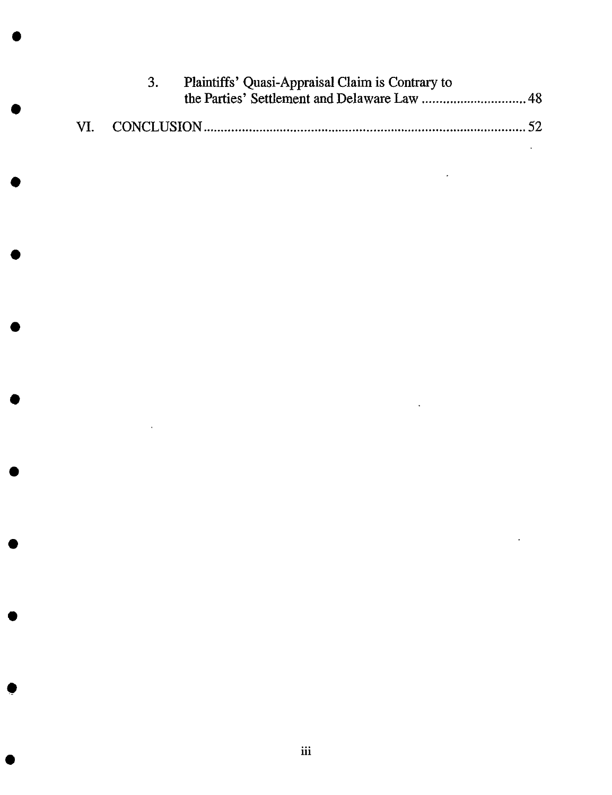|  | Plaintiffs' Quasi-Appraisal Claim is Contrary to |  |
|--|--------------------------------------------------|--|
|  |                                                  |  |

O

 $\bullet$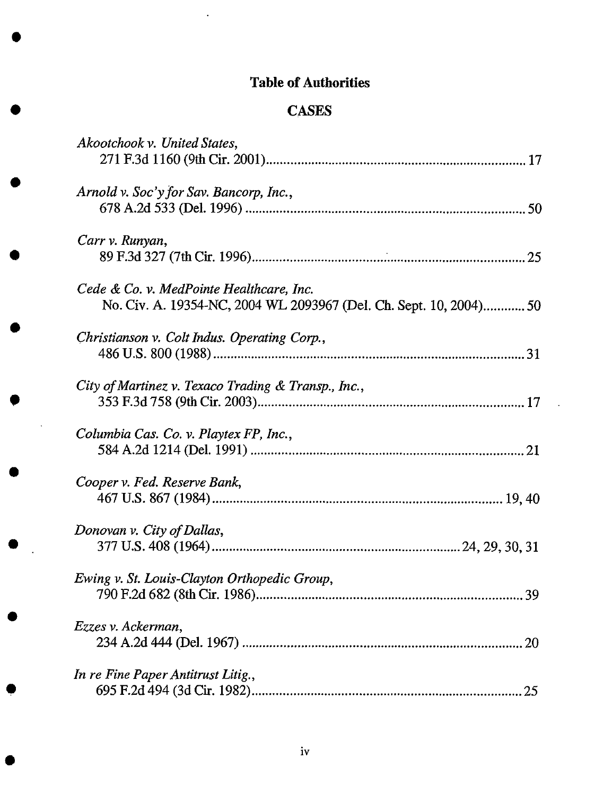# **Table of Authorities**

 $\ddot{\phantom{0}}$ 

# **CASES**

**\$**

**\$**

| Akootchook v. United States,                                                                                  |
|---------------------------------------------------------------------------------------------------------------|
| Arnold v. Soc'y for Sav. Bancorp, Inc.,                                                                       |
| Carr v. Runyan,                                                                                               |
| Cede & Co. v. MedPointe Healthcare, Inc.<br>No. Civ. A. 19354-NC, 2004 WL 2093967 (Del. Ch. Sept. 10, 2004)50 |
| Christianson v. Colt Indus. Operating Corp.,                                                                  |
| City of Martinez v. Texaco Trading & Transp., Inc.,                                                           |
| Columbia Cas. Co. v. Playtex FP, Inc.,                                                                        |
| Cooper v. Fed. Reserve Bank,                                                                                  |
| Donovan v. City of Dallas,                                                                                    |
| Ewing v. St. Louis-Clayton Orthopedic Group,                                                                  |
| Ezzes v. Ackerman,                                                                                            |
| In re Fine Paper Antitrust Litig.,                                                                            |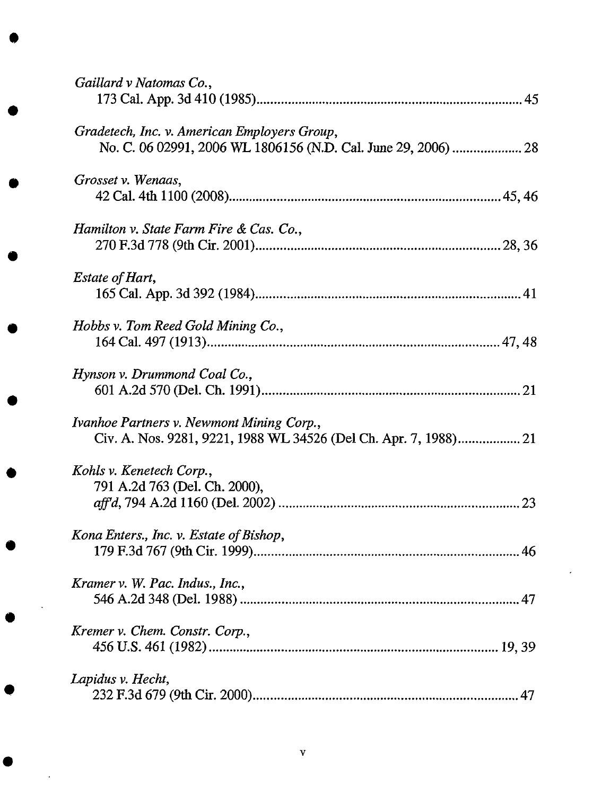| Gaillard v Natomas Co.,                                                                                        |
|----------------------------------------------------------------------------------------------------------------|
| Gradetech, Inc. v. American Employers Group,<br>No. C. 06 02991, 2006 WL 1806156 (N.D. Cal. June 29, 2006)  28 |
| Grosset v. Wenaas,                                                                                             |
| Hamilton v. State Farm Fire & Cas. Co.,                                                                        |
| <b>Estate of Hart,</b>                                                                                         |
| Hobbs v. Tom Reed Gold Mining Co.,                                                                             |
| Hynson v. Drummond Coal Co.,                                                                                   |
| Ivanhoe Partners v. Newmont Mining Corp.,                                                                      |
| Kohls v. Kenetech Corp.,<br>791 A.2d 763 (Del. Ch. 2000),                                                      |
| Kona Enters., Inc. v. Estate of Bishop,                                                                        |
| Kramer v. W. Pac. Indus., Inc.,                                                                                |
| Kremer v. Chem. Constr. Corp.,                                                                                 |
| Lapidus v. Hecht,                                                                                              |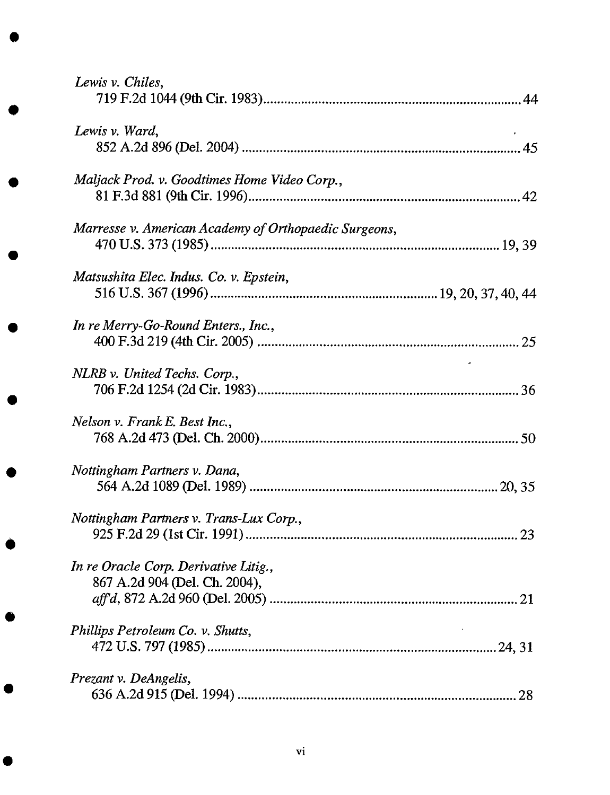| Lewis v. Chiles,                                                       |  |
|------------------------------------------------------------------------|--|
| Lewis v. Ward,                                                         |  |
| Maljack Prod. v. Goodtimes Home Video Corp.,                           |  |
| Marresse v. American Academy of Orthopaedic Surgeons,                  |  |
| Matsushita Elec. Indus. Co. v. Epstein,                                |  |
| In re Merry-Go-Round Enters., Inc.,                                    |  |
| NLRB v. United Techs. Corp.,                                           |  |
| Nelson v. Frank E. Best Inc.,                                          |  |
| Nottingham Partners v. Dana,                                           |  |
| Nottingham Partners v. Trans-Lux Corp.,                                |  |
| In re Oracle Corp. Derivative Litig.,<br>867 A.2d 904 (Del. Ch. 2004), |  |
| Phillips Petroleum Co. v. Shutts,                                      |  |
| Prezant v. DeAngelis,                                                  |  |

 $\bullet$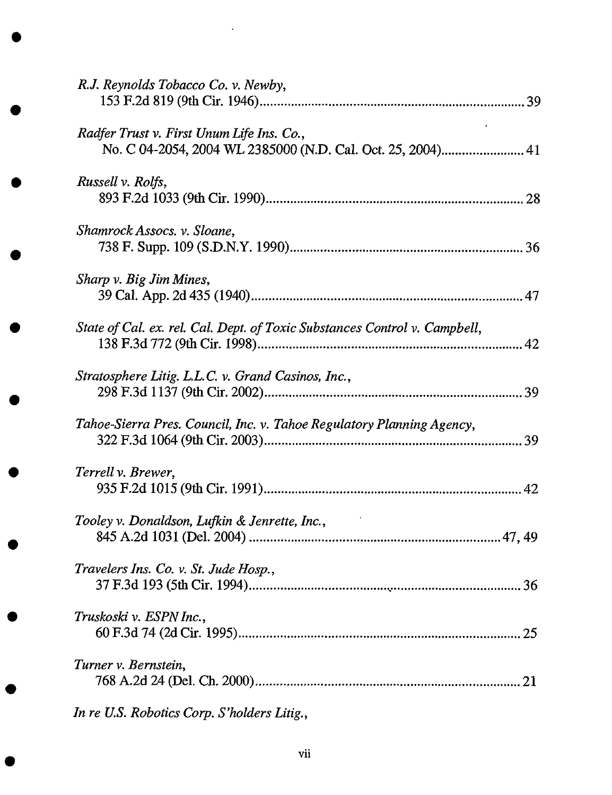| R.J. Reynolds Tobacco Co. v. Newby,                                                                      |    |
|----------------------------------------------------------------------------------------------------------|----|
| Radfer Trust v. First Unum Life Ins. Co.,<br>No. C 04-2054, 2004 WL 2385000 (N.D. Cal. Oct. 25, 2004) 41 |    |
| Russell v. Rolfs,                                                                                        |    |
| Shamrock Assocs. v. Sloane,                                                                              |    |
| Sharp v. Big Jim Mines,                                                                                  |    |
| State of Cal. ex. rel. Cal. Dept. of Toxic Substances Control v. Campbell,                               | 42 |
| Stratosphere Litig. L.L.C. v. Grand Casinos, Inc.,                                                       |    |
| Tahoe-Sierra Pres. Council, Inc. v. Tahoe Regulatory Planning Agency,                                    | 39 |
| Terrell v. Brewer,                                                                                       | 42 |
| Tooley v. Donaldson, Lufkin & Jenrette, Inc.,                                                            |    |
| Travelers Ins. Co. v. St. Jude Hosp.,                                                                    |    |
| Truskoski v. ESPN Inc.,                                                                                  |    |
| Turner v. Bernstein,                                                                                     |    |
| In re U.S. Robotics Corp. S'holders Litig.,                                                              |    |

 $\ddot{\phantom{a}}$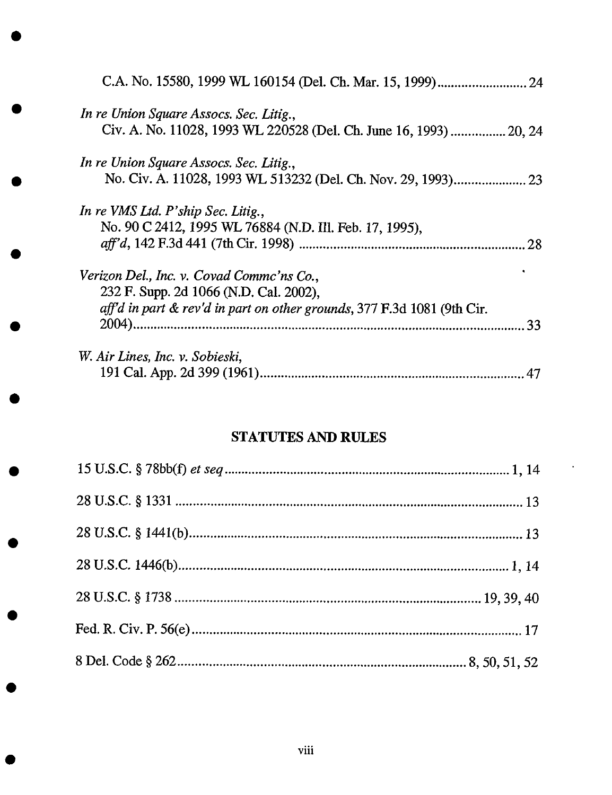| In re Union Square Assocs. Sec. Litig.,<br>Civ. A. No. 11028, 1993 WL 220528 (Del. Ch. June 16, 1993)  20, 24 |
|---------------------------------------------------------------------------------------------------------------|
|                                                                                                               |
|                                                                                                               |
| In re Union Square Assocs. Sec. Litig.,                                                                       |
|                                                                                                               |
| In re VMS Ltd. P'ship Sec. Litig.,                                                                            |
| No. 90 C 2412, 1995 WL 76884 (N.D. III. Feb. 17, 1995),                                                       |
|                                                                                                               |
| Verizon Del., Inc. v. Covad Commc'ns Co.,                                                                     |
| 232 F. Supp. 2d 1066 (N.D. Cal. 2002),                                                                        |
| aff'd in part & rev'd in part on other grounds, 377 F.3d 1081 (9th Cir.                                       |
|                                                                                                               |
| W. Air Lines, Inc. v. Sobieski,                                                                               |
|                                                                                                               |

# STATUTES AND RULES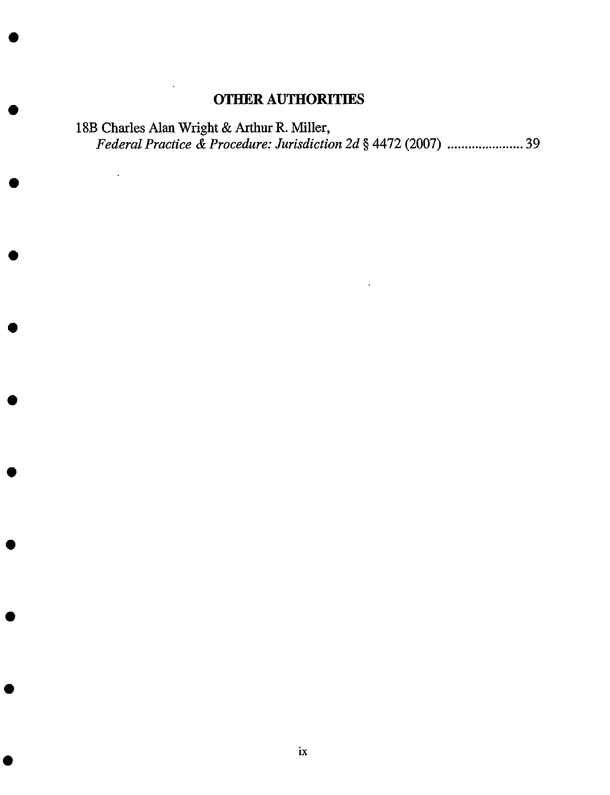# **OTHER** AUTHORITIES

 $\ddot{\phantom{a}}$ 

18B **Charles Alan** Wright **& Arthur** R. **Miller,** *Federal Practice & Procedure: Jurisdiction 2d* § **4472** (2007) ...................... **39**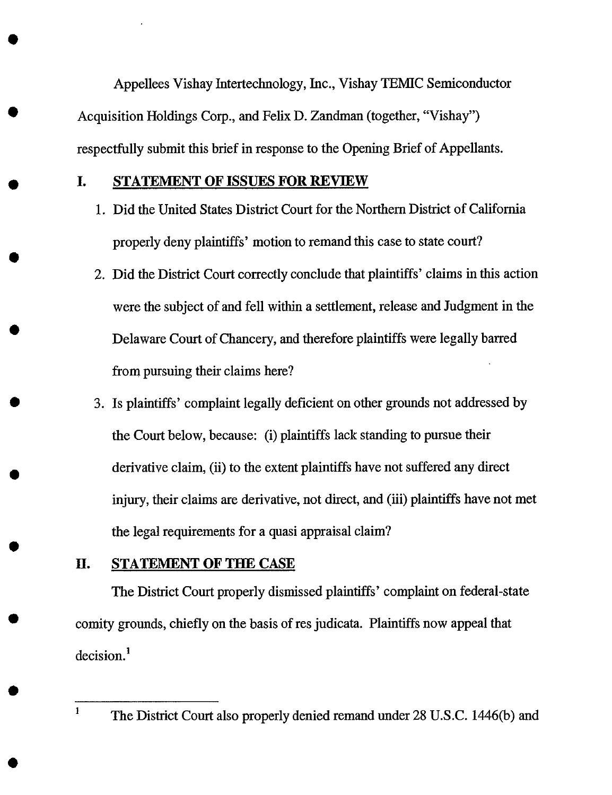Appellees Vishay Intertechnology, Inc., Vishay TEMIC Semiconductor Acquisition Holdings Corp., and Felix D. Zandman (together, "Vishay") respectfully submit this brief in response to the Opening Brief of Appellants.

#### **I. STATEMENT** OF **ISSUES FOR REVIEW**

- 1. Did the **United** States District Court for the Northern District of California properly deny plaintiffs' motion to remand this case to state court?
- 2. Did the District Court correctly conclude that plaintiffs' claims in this action were the subject of and fell within a settlement, release and Judgment in the Delaware Court of Chancery, and therefore plaintiffs were legally barred from pursuing their claims here?
- 3. Is plaintiffs' complaint legally deficient on other grounds not addressed by the Court below, because: (i) plaintiffs lack standing to pursue their derivative claim, (ii) to the extent plaintiffs have not suffered any direct injury, their claims are derivative, not direct, and (iii) plaintiffs have not met the legal requirements for a quasi appraisal claim?

### **II. STATEMENT OF THE CASE**

The District Court properly dismissed plaintiffs' complaint on federal-state comity grounds, chiefly on the basis of res judicata. Plaintiffs now appeal that decision.<sup>1</sup>

<sup>1</sup> **The District** Court also properly denied remand under 28 **U.S.C.** 1446(b) and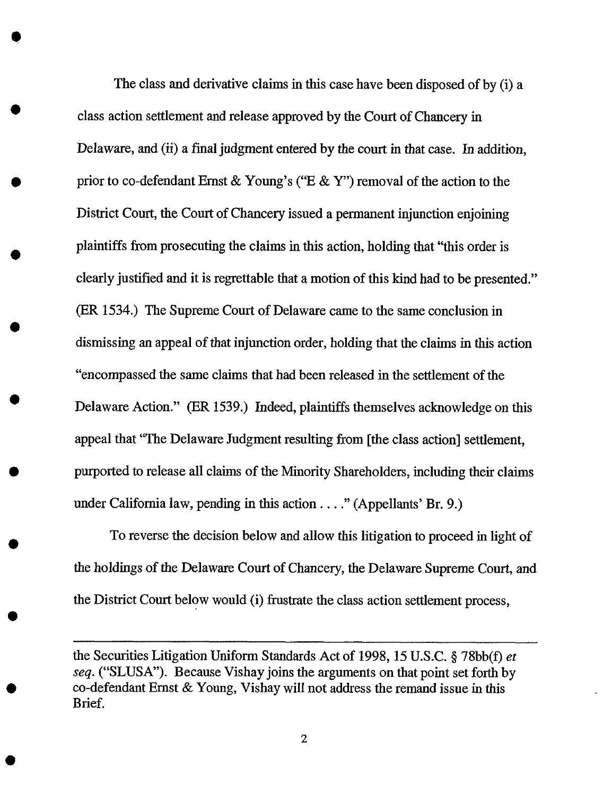The class and derivative claims in this **case** have been disposed of by (i) a class action settlement and release approved by the Court of Chancery in Delaware, and (ii) a final judgment entered by the court in that case. In addition, prior to co-defendant Ernst & Young's ("E & Y") removal of the action to the District Court, the Court of Chancery issued a permanent injunction enjoining plaintiffs **from** prosecuting the claims in this action, holding that "this order is clearly justified and it is regrettable that a motion of this kind had to be presented." (ER 1534.) The Supreme Court of Delaware came to the same conclusion in dismissing an appeal of that injunction order, holding that *the* claims in this action "encompassed the same claims that had been released in the settlement of the Delaware Action." (ER 1539.) Indeed, plaintiffs themselves acknowledge on this appeal that "The Delaware Judgment resulting **from** [the class action] settlement, purported to release all claims of the Minority Shareholders, including their claims under California law, pending in this action .... "(Appellants' Br. 9.)

To reverse the decision below and alIow this litigation to proceed in light of the holdings of *the* Delaware Court of Chancery, the Delaware Supreme Court, and the District Court below would (i) frustrate the class action settlement process,

the Securities Litigation Uniform Standards Act of **1998,** 15 U.S.C. § 78bb(f) *et seq.* ("SLUSA"). Because Vishay joins the arguments on that point set forth by co-defendant Ernst & Young, Vishay will not address the remand issue in this Brief.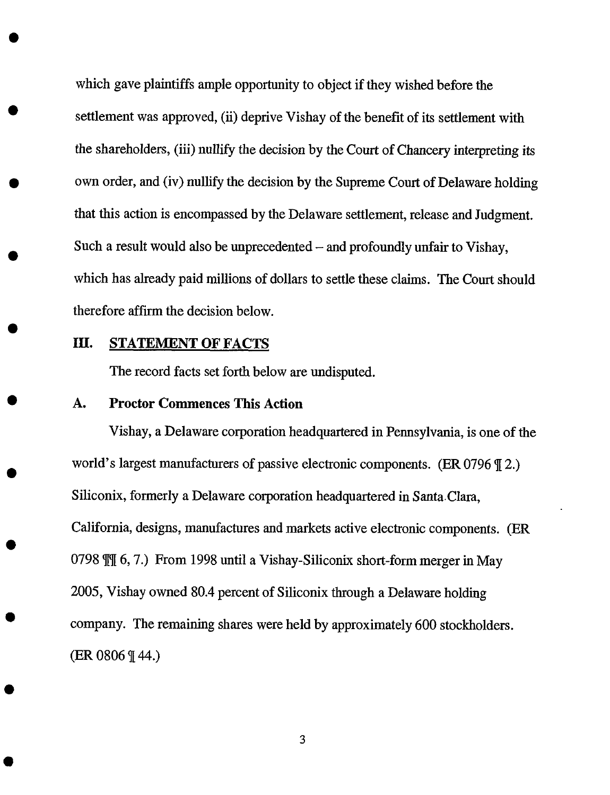which gave plaintiffs ample opportunity to object if they wished before the settlement was approved, (ii) deprive Vishay of the benefit of its settlement with the shareholders, (iii) nullify the decision by the Court of Chancery interpreting its own order, and (iv) nullify the decision by the Supreme Court of Delaware holding that this action is encompassed by the Delaware settlement, release and Judgment. Such a result would also be unprecedented  $-$  and profoundly unfair to Vishay, which has already paid millions of dollars to settle these claims. The Court should therefore affirm the decision below.

### III. STATEMENT OF FACTS

The record facts set forth below are undisputed.

#### A. Proctor Commences This Action

Vishay, a Delaware corporation headquartered in Pennsylvania, is one of the world's largest manufacturers of passive electronic components. (ER 0796  $\P$ 2.) Siliconix, formerly a Delaware corporation headquartered in Santa Clara, California, designs, manufactures and markets active electronic components. (ER 0798  $\mathbb{M}$  6, 7.) From 1998 until a Vishay-Siliconix short-form merger in May 2005, Vishay owned 80.4 percent of Siliconix through a Delaware holding company. The remaining shares were held by approximately 600 stockholders. (ER 0806 ¶ 44.)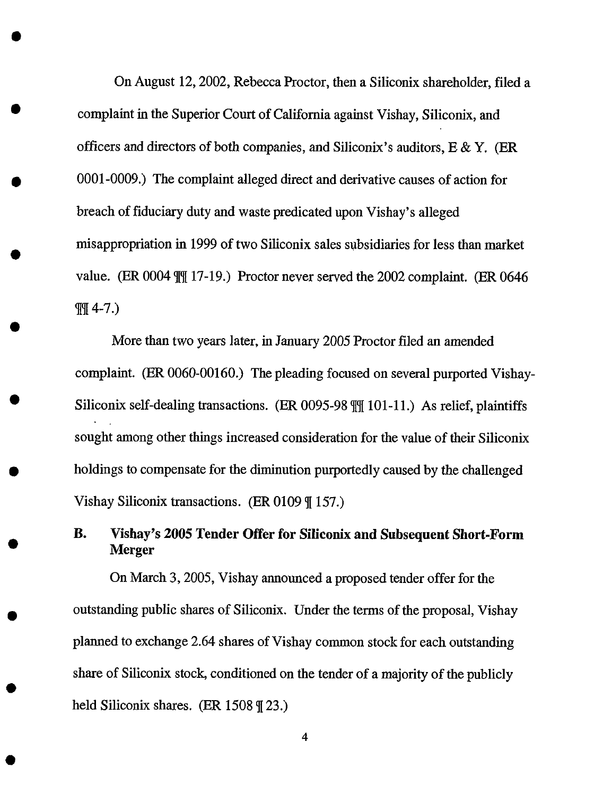On August 12, 2002, Rebecca Proctor, then a Siliconix shareholder, filed a complaint in the Superior Court of California against Vishay, Siliconix, and officers and directors of both companies, and Siliconix's auditors,  $E \& Y$ . (ER 0001-0009.) The complaint alleged direct and derivative causes of action for breach of fiduciary duty and waste predicated upon Vishay's alleged misappropriation in 1999 of two Siliconix sales subsidiaries for less than market value. (ER 0004  $\frac{1}{17}$ -19.) Proctor never served the 2002 complaint. (ER 0646)  $\P\P$  4-7.)

More than two years later, in January 2005 Proctor filed an amended complaint. (ER 0060-00160.) The pleading focused on several purported Vishay-Siliconix self-dealing transactions. (ER 0095-98  $\mathbb{M}$  101-11.) As relief, plaintiffs sought among other things increased consideration for the value of their Siliconix holdings to compensate for the diminution purportedly caused by the challenged Vishay Siliconix transactions. (ER 0109  $\parallel$  157.)

# **B. Vishay's** 2005 **Tender** Offer **for Siliconix and Subsequent Short-Form Merger**

On March 3, 2005, Vishay announced a proposed tender offer for the outstanding public shares of Siliconix. Under the terms of the proposal, Vishay planned to exchange 2.64 shares of Vishay common stock for each outstanding share of Siliconix stock, conditioned on the tender of a majority of the publicly held Siliconix shares. (ER  $1508 \text{ }\mathcal{F}(23.)$ )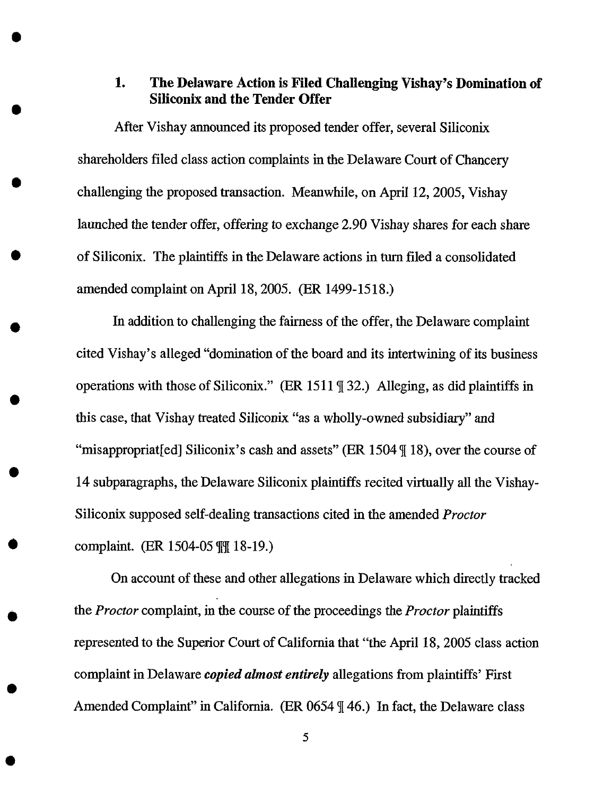### **1. The Delaware Action is Filed Challenging Vishay's Domination of Siliconix and the Tender Offer**

After Vishay announced its proposed tender offer, several Siliconix shareholders filed class action complaints in the Delaware Court of Chancery challenging the proposed transaction. Meanwhile, on April 12, 2005, Vishay launched *the* tender offer, offering *to* exchange 2.90 Vishay shares for each share of Siliconix. The plaintiffs in the Delaware actions in turn filed a consolidated amended complaint on April 18, 2005. (ER 1499-1518.)

In addition to challenging the fairness of the offer, the Delaware complaint cited Vishay's alleged "domination of the board and its intertwining of its business operations with those of Siliconix." (ER 1511  $\parallel$  32.) Alleging, as did plaintiffs in this case, that Vishay treated Siliconix "as a wholly-owned subsidiary" and "misappropriat[ed] Siliconix's cash and assets" (ER 1504  $\parallel$  18), over the course of 14 subparagraphs, the Delaware Siliconix plaintiffs recited virtually all the Vishay-Siliconix supposed self-dealing transactions cited in the amended *Proctor* complaint. (ER 1504-05  $\frac{m}{18}$  18-19.)

On account of these and other allegations in Delaware which directly tracked the *Proctor* complaint, in the course of the proceedings the *Proctor* plaintiffs represented to the Superior Court of California that "the April 18, 2005 class action complaint in Delaware *copied almost entirely* allegations from plaintiffs' First Amended Complaint" in California. (ER 0654  $\parallel$  46.) In fact, the Delaware class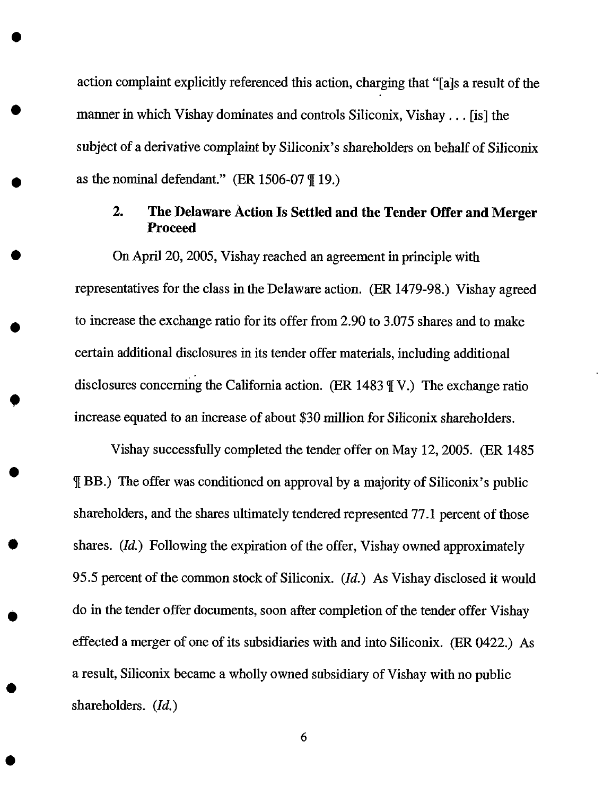action complaint explicitly referenced this action, charging that "[a]s a result of the manner in which Vishay dominates and controls Siliconix, Vishay... [is] the subject of a derivative complaint by Siliconix's shareholders on behalf of Siliconix as the nominal defendant." (ER 1506-07 *q[*19.)

# 2. The *Ddaware* Action Is Settled and the Tender Offer and Merger **Proceed**

On April 20, 2005, Vishay reached an agreement in principle with representatives for the class in the Delaware action. (ER 1479-98.) Vishay agreed to increase the exchange ratio for its offer from 2.90 to 3.075 shares and to make certain additional disclosures in its tender offer materials, including additional disclosures concerning the California action. (ER 1483  $\parallel$  V.) The exchange ratio increase equated to an increase of about \$30 million for Siliconix shareholders.

Vishay successfully completed the tender offer on May 12, 2005. (ER 1485 BB.) The offer was conditioned on approval by a majority of Siliconix's public shareholders, and the shares ultimately tendered represented 77.1 percent of those shares. (Id.) Following the expiration of the offer, Vishay owned approximately 95.5 percent of the common stock of Siliconix. (Id.) As Vishay disclosed it would do in the tender offer documents, soon after completion of the tender offer Vishay effected a merger of one of its subsidiaries with and into Siliconix. (ER 0422.) As a result, Siliconix became a wholly owned subsidiary of Vishay with no public shareholders. (Id.)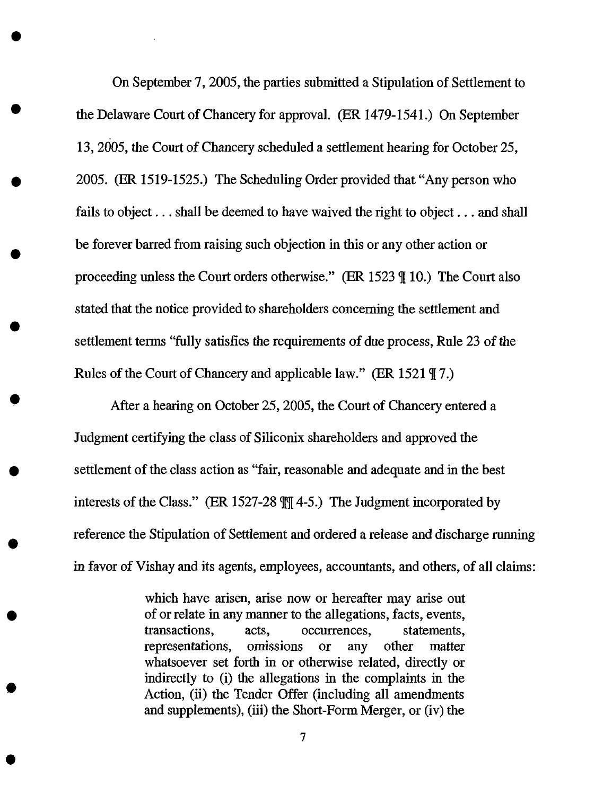On September 7, 2005, the parties submitted a Stipulation of Settlement to the Delaware Court of Chancery for approval. (ER 1479-1541.) On September 13, 2005, the Court of Chancery scheduled a settlement hearing for October 25, 2005. (ER 1519-1525.) The Scheduling Order provided that "Any person who fails to object... shall be deemed to have waived the right to object... and shall be forever barred from raising such objection in this or any other action or proceeding unless the Court orders otherwise." (ER 1523  $\parallel$  10.) The Court also stated that the notice provided to shareholders concerning the settlement and settlement terms "fully satisfies the requirements of due process, Rule 23 of the Rules of the Court of Chancery and applicable law." (ER 1521  $\sqrt{7}$ .)

After a hearing on October 25, 2005, the Court of Chancery entered a Judgment certifying the class of Siliconix shareholders and approved the settlement of the class action as"fair, reasonable and adequate and in the best interests of the Class." (ER 1527-28  $\mathbb{M}$  4-5.) The Judgment incorporated by reference the Stipulation of Settlement and ordered a release and discharge running in favor of Vishay and its agents, employees, accountants, and others, of all claims:

> which have arisen, arise now or hereafter may arise out of or relate in any manner to the allegations, facts, events, transactions, acts, occurrences, statements, representations, omissions or any other matter whatsoever set forth in or otherwise related, directly or indirectly to (i) the allegations in the complaints in the Action, (ii) the Tender Offer (including all amendments and supplements), (iii) the Short-Form Merger, or (iv) the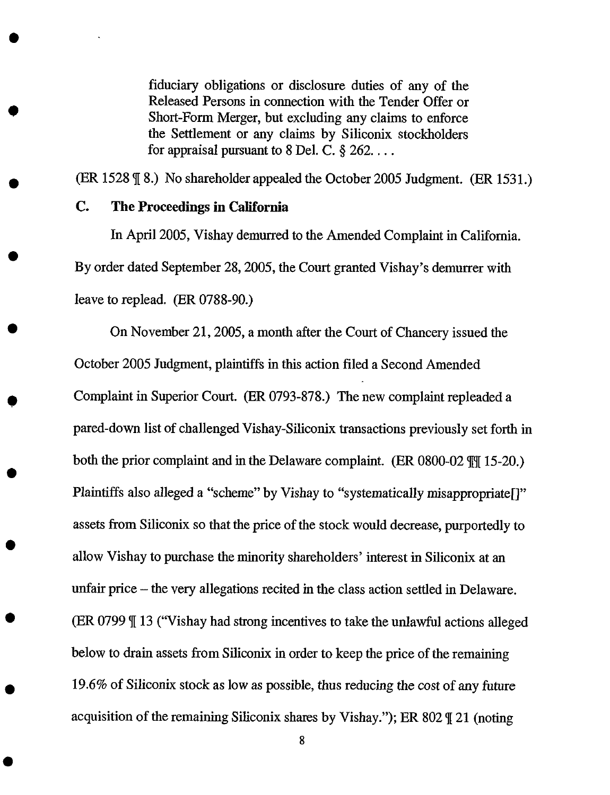fiduciary obligations or disclosure duties of any of the Released Persons in connection with the Tender Offer or Short-Form Merger, but excluding any claims to enforce the Settlement or any claims by Siliconix stockholders for appraisal pursuant to  $8$  Del. C.  $\S$  262...

(ER 1528  $\sqrt{8}$ .) No shareholder appealed the October 2005 Judgment. (ER 1531.)

#### C. The Proceedings in California

In April 2005, Vishay demurred to the Amended Complaint in California. By order dated September 28, 2005, the Court granted *Vishay's* demurrer with leave to replead. (ER 0788-90.)

On November 21, 2005, a month after the Court of Chancery issued the *October* 2005 Judgment, plaintiffs in this action filed a Second Amended Complaint in Superior Court. (ER 0793-878.) The new complaint repleaded a pared-down list of challenged Vishay-Siliconix transactions previously set forth in both the prior complaint and in the Delaware complaint. (ER  $0800-02$   $\llbracket \parallel$  15-20.) Plaintiffs also alleged a "scheme" by Vishay to "systematically misappropriate[]" assets from Siliconix so that the price of the stock would decrease, purportedly to allow Vishay to purchase the minority shareholders' interest in Siliconix at an unfair price – the very allegations recited in the class action settled in Delaware. (ER 0799  $\mathbb{I}$  13 ("Vishay had strong incentives to take the unlawful actions alleged below to drain assets from Siliconix in order to keep the price of the remaining 19.6% of Siliconix stock as low as possible, thus reducing the cost of any future acquisition of the remaining Siliconix shares by Vishay."); ER 802  $\P$  21 (noting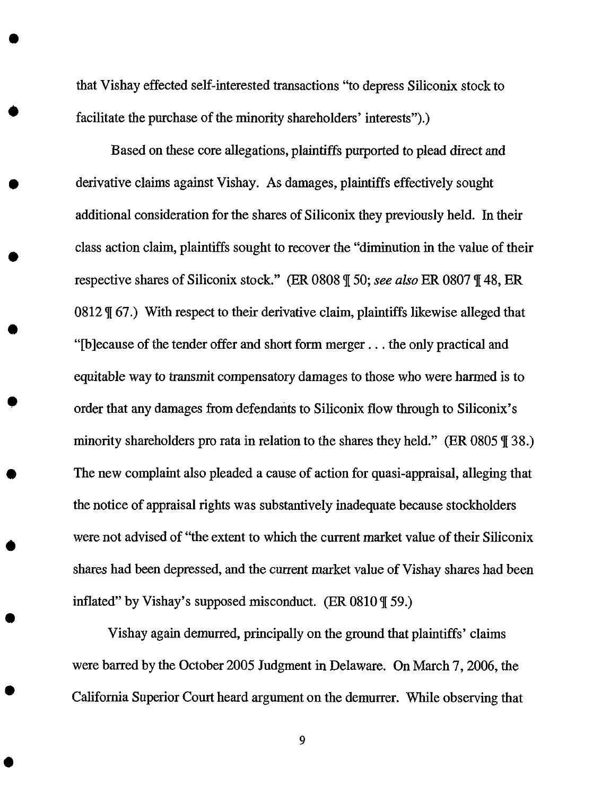that Vishay effected self-interested transactions "to depress Siliconix stock to facilitate the purchase of the minority shareholders' interests").)

Based on these core allegations, plaintiffs purported to plead direct and derivative claims against Vishay. As damages, plaintiffs effectively sought additional consideration for the shares of Siliconix they previously held. In their class action claim, plaintiffs sought to recover the "diminution in the value of their respective shares of Siliconix stock." (ER 0808 q[50; *see also* ER 0807 q[48, ER  $0812 \text{ }\mathcal{F}$  67.) With respect to their derivative claim, plaintiffs likewise alleged that "[b]ecause of the tender offer and short form merger.., the only practical and equitable way to transmit compensatory damages to those who were harmed is to order that any damages from defendants to Siliconix flow through to Siliconix's minority shareholders pro rata in relation to the shares they held." (ER 0805  $\parallel$  38.) The new complaint also pleaded a cause of action for quasi-appraisal, alleging that the notice of appraisal rights was substantively inadequate because stockholders were not advised of "the extent to which the current market value of their Siliconix shares had been depressed, and the *current* market value of Vishay shares had been inflated" by Vishay's supposed misconduct. (ER  $0810 \sqrt{\ }$  59.)

Vishay again demurred, principally on the ground that plaintiffs' claims were barred by the October 2005 Judgment in Delaware. On March 7, 2006, the California Superior Court heard argument on the demurrer. While observing that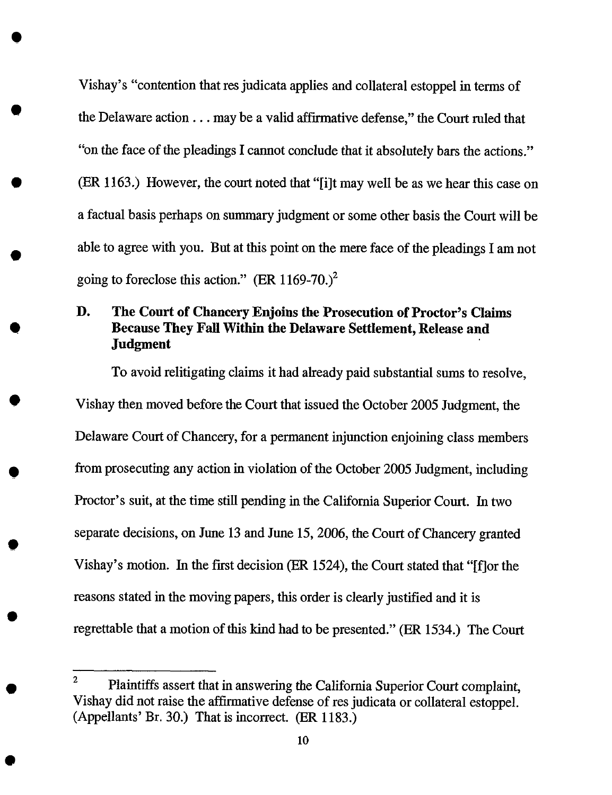Vishay's "contention that resjudicata applies and collateral estoppel in terms of the Delaware action  $\ldots$  may be a valid affirmative defense," the Court ruled that "on the face of the pleadings I cannot conclude that it absolutely bars the actions." (ER 1163.) However, the court noted that "[i]t may well be as we hear this case on a factual basis perhaps on summary judgment or some other basis the Court will be able to agree with you. But at this point on the mere face of the pleadings I am not going to foreclose this action." (ER  $1169-70$ .)<sup>2</sup>

# *D.* The Court of Chancery Enjoins the Prosecution of Proctor's Claims Because They Fall Within the **Delaware** Settlement, Release and Judgment

To avoid relitigating claims it had already paid substantial sums to resolve, Vishay then moved before the Court that issued the October 2005 Judgment, the Delaware Court of Chancery, for a permanent injunction enjoining class members from prosecuting any action in violation of the October 2005 Judgment, including Proctor's suit, at the time still pending in the California Superior Court. In two separate decisions, on June 13 and June 15, 2006, *the* Court of Chancery granted Vishay's motion. In the first decision (ER 1524), the Court stated that "[fJor the reasons stated in the moving papers, this order is clearly justified and it is regrettable that a motion of this kind had to be presented." (ER 1534.) The Court

<sup>&</sup>lt;sup>2</sup> Plaintiffs assert that in answering the California Superior Court complaint, Vishay did not raise the affirmative defense of res judicata or collateral estoppel. (Appellants' Br. 30.) That is incorrect. (ER 1183.)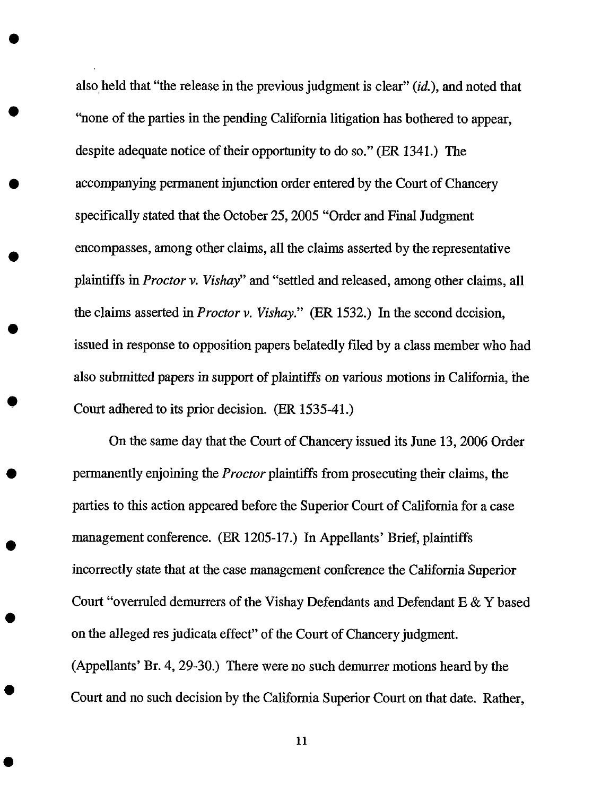also held that "the release in the previous judgment is clear" (id.), and noted that "none of the parties in the pending California litigation has bothered to appear, despite adequate notice of their opportunity to do so." (ER 1341.) *The* accompanying permanent injunction order entered by the Court of Chancery specifically stated that the October 25, 2005 "Order and Final Judgment encompasses, among other claims, all the claims asserted by the representative plaintiffs in *Proctor v. Vishay"* and "settled and released, among other claims, all the claims asserted in *Proctor v. Vishay."* (ER 1532.) In the second decision, issued in response to opposition papers belatedly filed by a class member who had also submitted papers in support of plaintiffs on various motions in California, the Court adhered to its prior decision. (ER 1535-41.)

On the same day that the Court of Chancery issued its June 13, 2006 Order permanently enjoining the *Proctor* plaintiffs from prosecuting their claims, the parties to this action appeared before the Superior Court of California for a case management conference. (ER 1205-17.) In Appellants' Brief, plaintiffs incorrectly state that at *the* case management conference the California Superior Court "overruled demurrers of the Vishay Defendants and Defendant E & Y based on the alleged res judicata effect" of the Court of Chancery judgment. (Appellants' Br. 4, 29-30.) There were no such demurrer motions heard by the Court and no such decision by the California Superior Court on that date. Rather,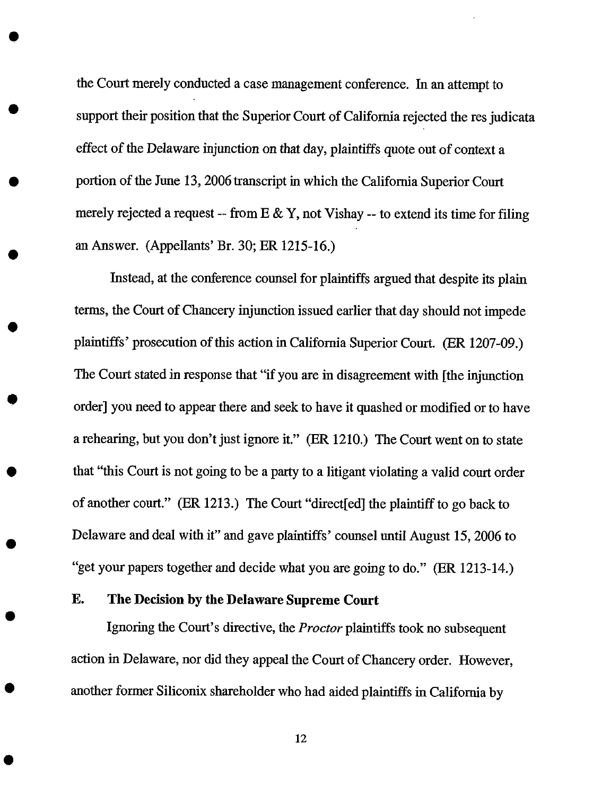the Court merely conducted a case management conference. In an attempt to support their position that the Superior Court of California rejected the res judicata effect of the Delaware injunction on that day, *plaintiffs* quote out of *context* a portion of the June 13, 2006 transcript in which the California Superior Court merely rejected a request -- from  $E \& Y$ , not Vishay -- to extend its time for filing an Answer. (Appellants' Br. 30; ER 1215-16.)

Instead, at the conference counsel for plaintiffs argued that despite its plain terms, the Court of Chancery injunction issued earlier that day should not impede plaintiffs' prosecution of this action in California Superior Court. (ER 1207-09.) *The* Court stated in response that "if you are in disagreement with [the injunction order] you need to appear there and seek to have it quashed or modified or to have a rehearing, but you don't just ignore it." (ER 1210.) The Court went on to state that "this Court is not going to be a party to a litigant violating a valid court order of another court." (ER 1213.) The Court "direct[ed] the plaintiff to go back to Delaware and deal with it" and gave plaintiffs' counsel until August 15, 2006 to "get your papers *together* and decide what you are going to do." (ER 1213-14.)

### **E. The Decision by the Delaware Supreme Court**

**Ignoring** the **Court's directive, the** *Proctor* **plaintiffs took no** subsequent **action in Delaware, nor did** they **appeal** the **Court of Chancery order. However,** another **former Siliconix** shareholder who had **aided** plaintiffs in **California by**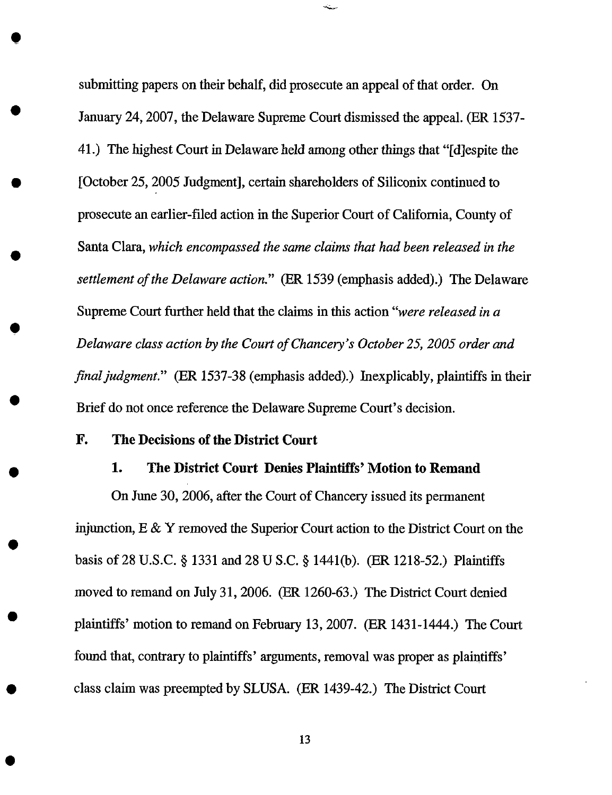submitting papers on their behalf, did prosecute an appeal of that order. On January 24, 2007, the Delaware Supreme Court dismissed the appeal. (ER 1537- 41.) The highest Court in Delaware held among other things that "[d]espite *the* [October 25, 2005 Judgment], certain shareholders of Siliconix continued to prosecute an earlier-filed action in the Superior Court of California, County of Santa Clara, *which encompassed the same claims that had been released in the settlement of the Delaware action."* (ER 1539 (emphasis added).) The Delaware Supreme Court further held that the claims in this action "were *released in a Delaware class action by* the *Court of Chancery's October 25, 2005 order and final judgment."* (ER 1537-38 (emphasis added).) Inexplicably, plaintiffs in their Brief do not once reference the Delaware Supreme Court's decision.

#### **F. The Decisions of the District Court**

O

#### **1. The District Court Denies Plaintiffs' Motion to Remand**

On June 30, 2006, after **the** Court of Chancery **issued** its permanent injunction, E & Y removed the Superior Court action to *the* District Court on the basis of 28 U.S.C. § 1331 and 28 U S.C. § 1441(b). (ER 1218-52.) Plaintiffs moved to remand on July 31, 2006. (ER 1260-63.) The District Court denied plaintiffs' motion to remand on February 13, 2007. (ER 1431-1444.) The Court found that, contrary to plaintiffs' arguments, removal was proper as plaintiffs' class claim was preempted by SLUSA. (ER 1439-42.) The District Court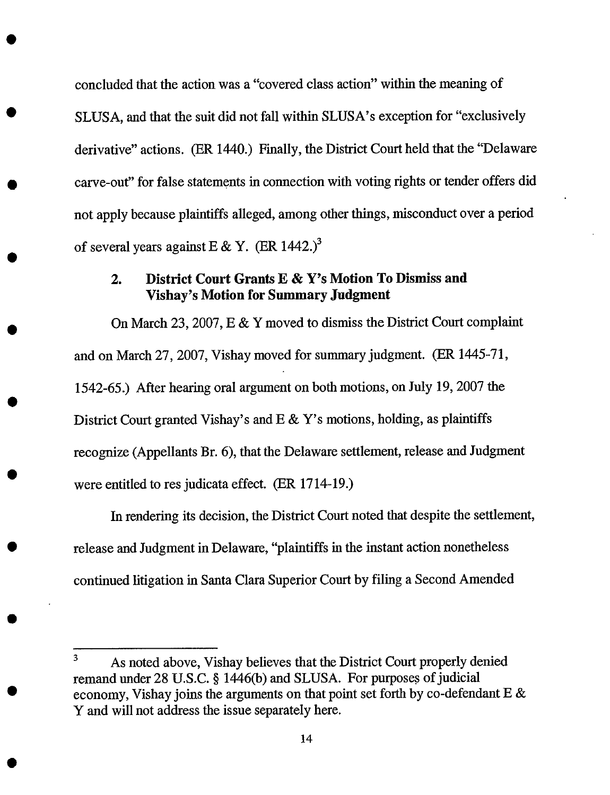concluded that the action was a "covered class action" within the meaning of SLUSA, and that the suit did not fall within SLUSA's exception for "exclusively derivative" actions. (ER 1440.) Finally, the District Court held that the "Delaware carve-out" for false statements in connection with voting rights or tender offers did not apply because plaintiffs alleged, among other things, misconduct over a period of several years against E & Y. (ER 1442.)<sup>3</sup>

# **2. District Court Grants E & Y's Motion To Dismiss and Vishay's Motion for Summary Judgment**

**On March 23, 2007, E & Y** moved **to dismiss** the **District Court complaint and on March 27, 2007,** Vishay **moved for summary judgment.** (ER 1445-71, 1542-65.) **After hearing oral** argument **on** both **motions, on July 19,** 2007 the **District Court granted** Vishay's and **E & Y's motions,** holding, **as plaintiffs recognize** (Appellants **Br. 6), that** the **Delaware settlement,** release **and Judgment** were entitled **to** res judicata effect. (ER **1714-19.)**

**In rendering its decision, the District Court noted** that **despite** the **settlement, release** and **Judgment in Delaware,** "plaintiffs in the **instant action nonetheless continued litigation in Santa Clara Superior Court** by **filing a Second Amended**

<sup>&</sup>lt;sup>3</sup> As noted above, Vishay believes that the District Court properly denied remand under 28 U.S.C. § 1446(b) and SLUSA. For purposes of judicial economy, Vishay joins the arguments on that point set forth by co-defendant E & Y and will not address the issue separately here.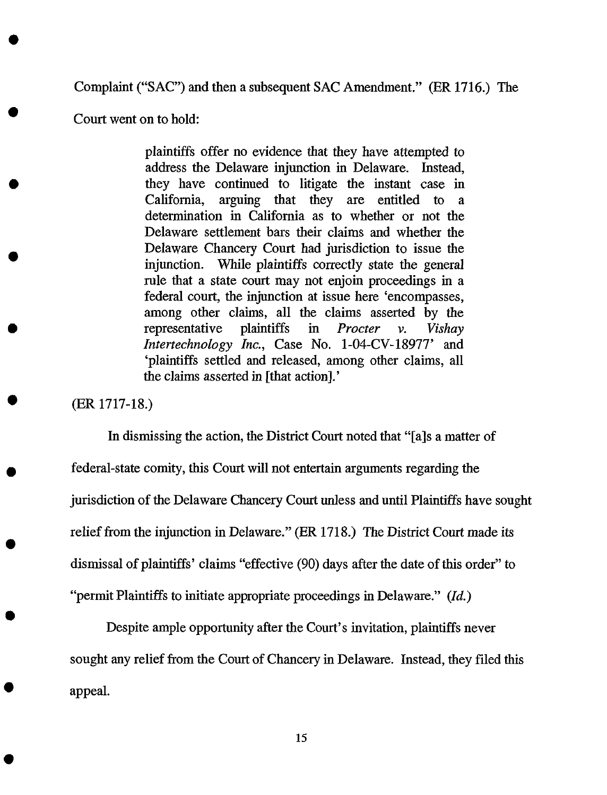Complaint ("SAC") and then a subsequent SAC Amendment." (ER 1716.) The

Court went on to hold:

plaintiffs offer no evidence that they have attempted to address the Delaware injunction in Delaware. Instead, they have continued to litigate the instant case in California, arguing that they are entitled to a determination in California as to whether or not the Delaware settlement bars their claims and whether the Delaware Chancery Court had jurisdiction to issue the injunction. While plaintiffs correctly state *the* general rule that a state court may not enjoin proceedings in a federal court, the injunction at issue here 'encompasses, among other claims, all the claims asserted by the representative plaintiffs in *Procter v. Vishay lntertechnology Inc.,* Case No. 1-04-CV-18977' and 'plaintiffs settled and released, among other claims, all the claims asserted in [that action].'

(ER 1717-18.)

In dismissing the action, the District Court noted that "[a]s a matter of federal-state comity, this Court will not entertain arguments regarding the jurisdiction of the Delaware Chancery Court unless and until Plaintiffs have sought relief from the injunction in Delaware." (ER 1718.) The District Court made its dismissal of plaintiffs' claims "effective (90) days after the date of this order" to "permit Plaintiffs to initiate appropriate proceedings in Delaware." (Id.)

Despite ample opportunity after the Court's invitation, plaintiffs never sought any relief from the Court of Chancery in Delaware. Instead, they filed this appeal.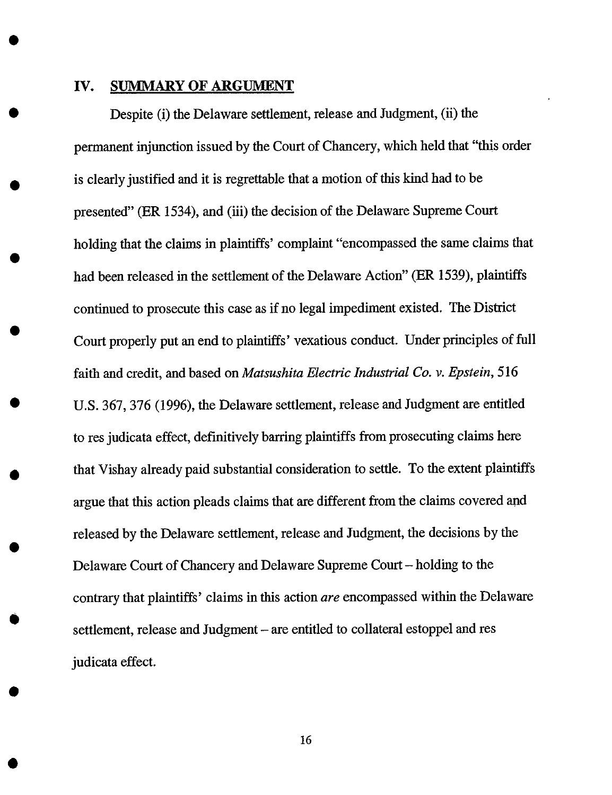#### IV. **SUMMARY** OF **ARGUMENT**

Despite (i) the Delaware settlement, release and Judgment, (ii) the permanent injunction issued by the Court of Chancery, which held that "this order is clearly justified and it is regrettable that a motion of this kind had to be presented" (ER 1534), and (iii) the decision of the Delaware Supreme Court holding that the claims in plaintiffs' complaint "encompassed the same claims that had been released in the settlement of the Delaware Action" (ER 1539), plaintiffs continued to prosecute this case as if no legal impediment existed. The District Court properly put an end to plaintiffs' vexatious conduct. Under principles of full faith and credit, and based on *Matsushita Electric Industrial Co. v. Epstein,* 516 U.S. 367, 376 (1996), the Delaware settlement, release and Judgment are entitled to res judicata effect, definitively barring plaintiffs from prosecuting claims here that Vishay already paid substantial consideration to settle. To the extent plaintiffs argue that this action pleads claims that are different from the claims covered and released by the Delaware settlement, release and Judgment, *the* decisions by the Delaware Court of Chancery and Delaware Supreme Court - holding to the contrary that plaintiffs' claims in this action *are* encompassed within the Delaware settlement, release and Judgment – are entitled to collateral estoppel and res judicata effect.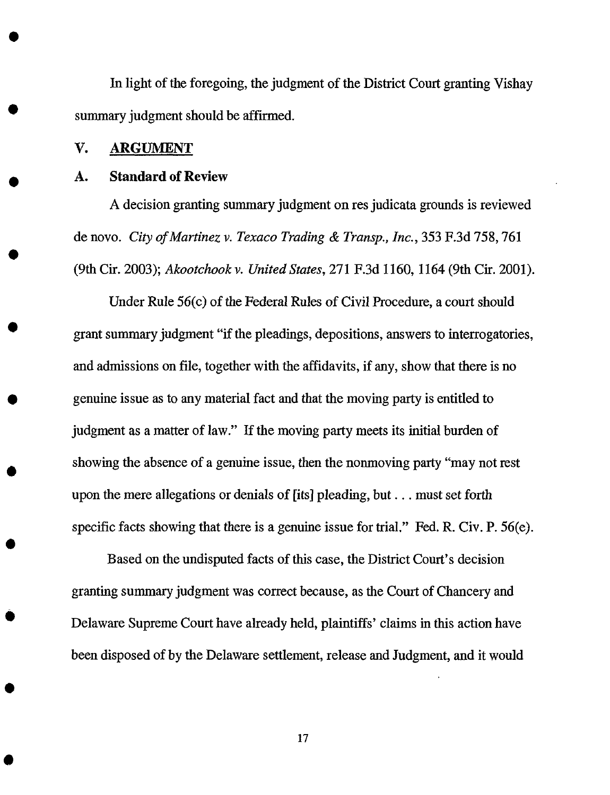In light of the foregoing, the judgment of the District Court granting Vishay summary judgment should be affirmed.

#### V. ARGUMENT

#### A. Standard of Review

A decision granting summary judgment on res judicata grounds is reviewed de novo. *City ofMartinez v. Texaco Trading & Transp., Inc.,* 353 F.3d 758, 761 (9th Cir. 2003); *Akootchook v. United States,* 271 F.3d 1160, 1164 (9th Cir. 2001).

Under Rule 56(c) of the Federal Rules of Civil Procedure, a court should grant summary judgment "if the pleadings, depositions, answers to interrogatories, and admissions on file, together with the affidavits, if any, show that there is no genuine issue as to any material fact and that the moving party is entitled to judgment as a matter of law." If the moving party meets its initial burden of showing the absence of a genuine issue, then the nonmoving party "may not rest upon the mere allegations or denials of [its] pleading, but.., must set forth specific facts showing that there is a genuine issue for trial." Fed. R. Civ. P. 56(e).

Based on the undisputed facts of this case, the District Court's decision granting summary judgment was correct because, as the Court of Chancery and Delaware Supreme Court have already held, plaintiffs' claims in this action have been disposed of by the Delaware settlement, release and Judgment, and it would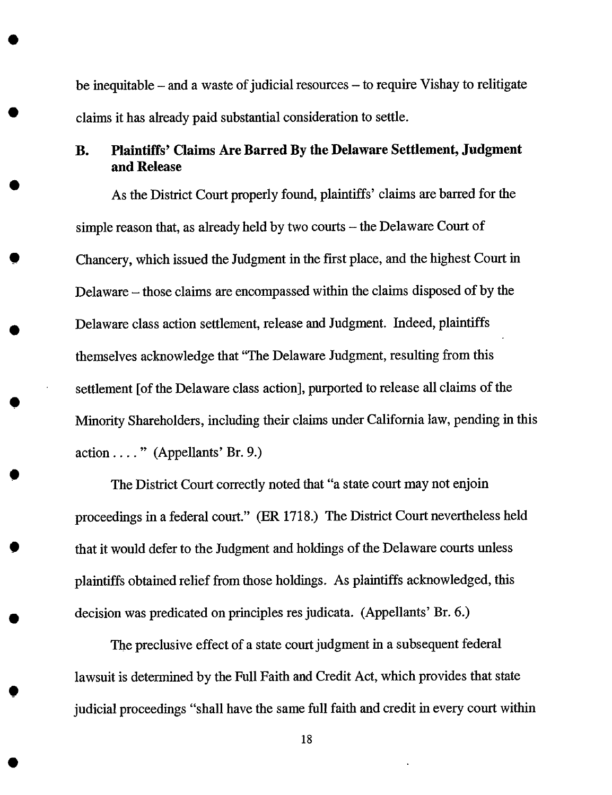be inequitable – and a waste of judicial resources – to require Vishay to relitigate claims it has already paid substantial consideration to settle.

# **B. Plaintiffs' Claims Are Barred** By **the Delaware Settlement, Judgment and Release**

As the District Court properly **found,** plaintiffs' claims are barred for the simple reason that, as already held by two courts  $-$  the Delaware Court of Chancery, which issued the Judgment in the first place, and the highest Court in Delaware - those claims are encompassed within the claims disposed of by the Delaware class action settlement, release and Judgment. Indeed, plaintiffs themselves acknowledge that "The Delaware Judgment, resulting from this settlement [of the Delaware class action], purported to release all claims of the Minority Shareholders, including their claims under California law, pending in this action .... " (Appellants' Br. 9.)

The District Court correctly noted that "a state court may not enjoin proceedings in a **federal** court." (ER 1718.) The District Court nevertheless held that it would defer to the Judgment and holdings of the Delaware courts unless plaintiffs obtained relief from those holdings. As plaintiffs acknowledged, this decision was predicated on principles res judicata. (Appellants' Br. 6.)

 $\bullet$ 

 $\bullet$ 

The preclusive effect of a state court judgment in a subsequent federal lawsuit is determined by the Full Faith and Credit Act, which provides that state judicial proceedings "shall have the same full faith and credit in every court within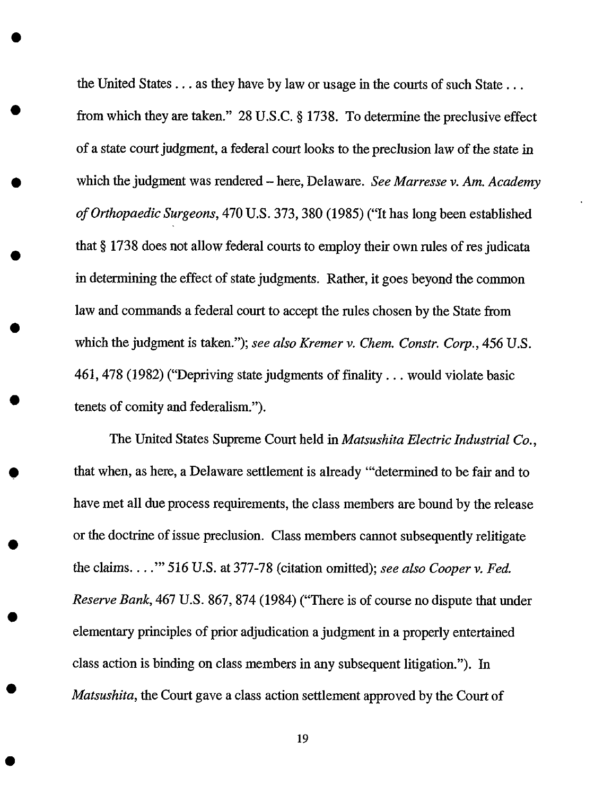the United States... as they have by law or usage in the courts of such State... from which they are taken." 28 U.S.C.  $\S 1738$ . To determine the preclusive effect of a state court judgment, a federal court looks to the preclusion law of the state in which the judgment was rendered - here, Delaware. *See Marresse v. Am. Academy of Orthopaedic Surgeons,* 470 U.S. 373,380 (1985) ("It has long been established that § 1738 does not allow federal courts to employ their own rules of res judicata in determining the effect of state judgments. Rather, it goes beyond the common law and commands a federal court to accept the rules chosen by the State from which the judgment is taken."); *see also Kremer v. Chem. Constr. Corp.,* 456 U.S. 461,478 (1982) ("Depriving state judgments of finality.., would violate basic tenets of comity and federalism.").

The United States Supreme Court held in *Matsushita Electric Industrial Co.,* that when, as here, a Delaware settlement is already '"determined to be fair and to have met all due process requirements, the class members are bound by the release or the doctrine of issue preclusion. Class members cannot subsequently relitigate the claims .... '" 516 U.S. at 377-78 (citation omitted); *see also Cooper v. Fed. Reserve Bank,* 467 U.S. 867, 874 (1984) ("There is of course no dispute that under elementary principles of prior adjudication a judgment in a properly entertained class action is binding on class members in any subsequent litigation."). In *Matsushita,* the Court gave a class action settlement approved by the Court of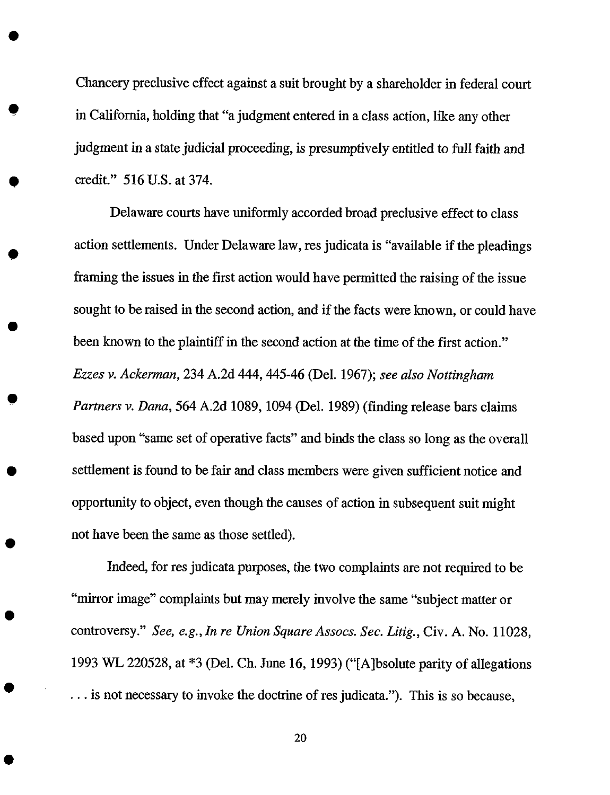Chancery preclusive effect against a suit brought by a shareholder in federal court in California, holding that "a judgment entered in a class action, like any other judgment in a state judicial proceeding, is presumptively entitled to full faith and credit." 516 U.S. at 374.

Delaware courts have uniformly accorded broad preclusive effect to class action settlements. Under Delaware law, res judicata is "available if the pleadings framing the issues in the first action would have permitted the raising of the issue sought to be raised in the second action, and if the facts were known, or could have been known to the plaintiff in the second action at the time of the first action." *Ezzes v. Ackerman,* 234 A.2d 444, 445-46 (Del. 1967); *see also Nottingham Partners v. Dana,* 564 A.2d 1089, 1094 (Del. 1989) (finding release bars claims based upon "same set of operative facts" and binds the class so long as the overall settlement is found to be fair and class members were given sufficient notice and opportunity to object, even though the causes of action in subsequent suit might not have been the same as those settled).

*Indeed,* for res judicata purposes, the two complaints are not required to be "mirror image" complaints but may merely involve the same "subject matter or controversy." *See, e.g., In re Union Square Assocs. Sec. Litig.,* Civ. A. No. 11028, 1993 WL 220528, at \*3 (Del. Ch. June 16, 1993) ("[A]bsolute parity of allegations ... is not necessary to invoke the doctrine of res judicata."). This is so because,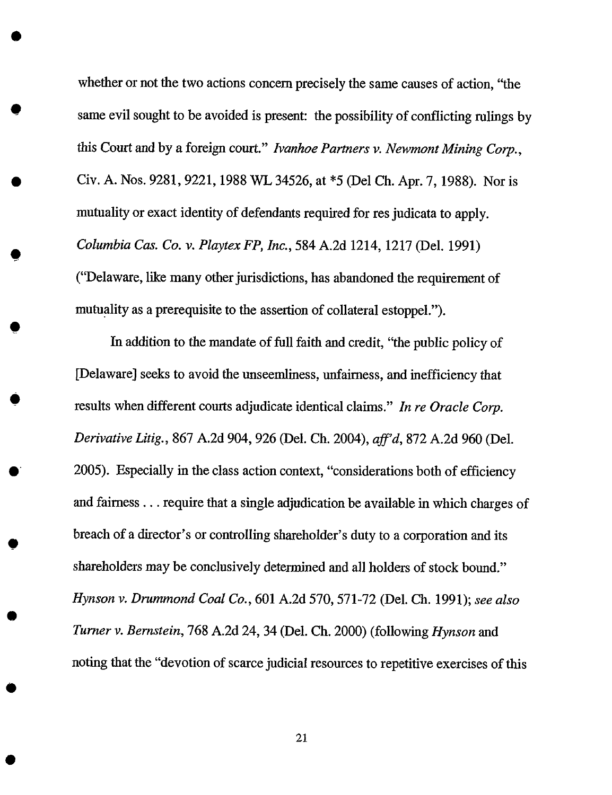whether or not the two actions concern precisely the same causes of action, "the same evil sought to be avoided is present: the possibility of conflicting rulings by this Court and by a foreign court." *Ivanhoe Partners v. Newmont Mining Corp.,* Civ. A. Nos. 9281, 9221, 1988 WL 34526, at \*5 (Del Ch. Apr. 7, 1988). Nor is mutuality or exact identity of defendants required for res judicata to apply. *Columbia Cas. Co. v. Playtex FP, Inc.,* 584 A.2d 1214, 1217 (Del. 1991) ("Delaware, like many other jurisdictions, has abandoned the requirement of mutuality as a prerequisite to the assertion of collateral estoppel.").

O

O

 $\bullet$ 

In addition to *the* mandate of full faith and credit, "the public policy of [Delaware] seeks to avoid the unseemliness, unfairness, and inefficiency that results when different courts adjudicate identical claims." *In re Oracle Corp. Derivative Litig.,* 867 A.2d 904, 926 (Del. Ch. 2004), *aft'd,* 872 A.2d 960 (Del. 2005). Especially in the class action context, "considerations both of efficiency and fairness.., require that a single adjudication be available in which charges of breach of a director's or controlling shareholder's duty to a corporation and its shareholders may be conclusively determined and all holders of stock bound." *Hynson v. Drummond Coal Co.,* 601 A.2d 570, 571-72 (Del. Ch. 1991); see *also Turner v. Bernstein,* 768 A.2d 24, 34 (Del. Ch. 2000) (following *Hynson* and noting that the "devotion of scarce judicial resources to repetitive exercises of this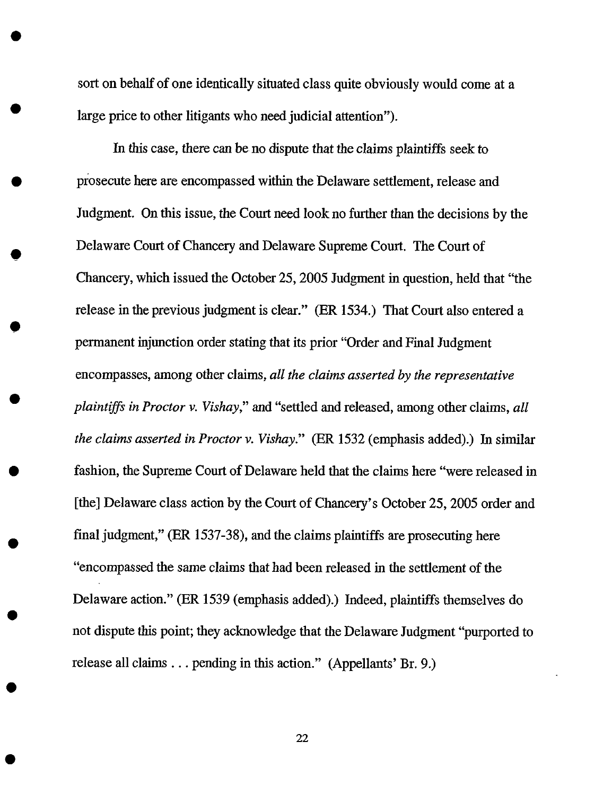sort on behalf of one identically situated class quite obviously would come at a large price to other litigants who need judicial attention").

O

*In* this case, there can be no dispute that the claims plaintiffs seek to prosecute here are encompassed within the Delaware settlement, release and Judgment. On this issue, the Court need look no further than the decisions by the Delaware Court of Chancery and Delaware Supreme Court. The Court of Chancery, which issued the October 25, 2005 Judgment in question, held that "the release in the previous judgment is clear." (ER 1534.) That Court also entered a permanent injunction order stating *that* its prior "Order and Final Judgment encompasses, among other claims, *all the claims asserted by the representative plaintiffs in Proctor v. Vishay,"* and "settled and released, among other claims, all *the claims asserted in Proctor v. Vishay."* (ER 1532 (emphasis added).) In similar fashion, the Supreme Court of Delaware held that the claims here "were released in [the] Delaware class action by the Court of Chancery's October 25, 2005 order and final judgment," (ER I537-38), and the claims plaintiffs are prosecuting here "encompassed the same claims that had been released in the settlement of the Delaware action." (ER 1539 (emphasis added).) Indeed, plaintiffs themselves do not dispute this point; they acknowledge that the Delaware Judgment "purported to release all claims.., pending in this action." (Appellants' Br. 9.)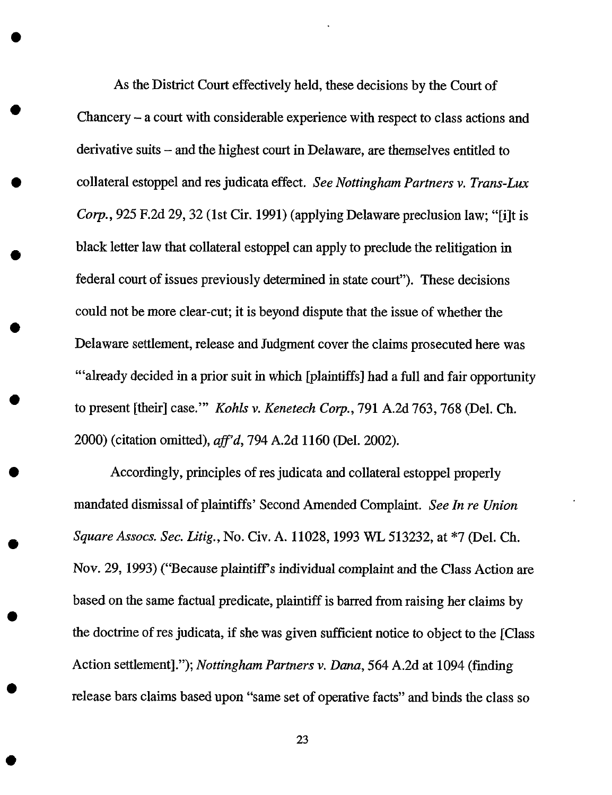As the District Court effectively held, these decisions by the Court of Chancery - a court with considerable experience with respect to class actions and derivative suits - and the highest court in Delaware, are *themselves* entitled to collateral estoppel and res judicata effect. *See Nottingham Partners v. Trans-Lux Corp.*, 925 F.2d 29, 32 (1st Cir. 1991) (applying Delaware preclusion law; "[i]t is black letter law that collateral estoppel can apply to preclude the relitigation in federal court of issues previously determined in state court"). These decisions could not be more clear-cut; it is beyond dispute that the issue of whether the Delaware settlement, release and Judgment cover the claims prosecuted here was "'already decided in a prior suit in which [plaintiffs] had a full and fair opportunity to present [their] case.'" *Kohls v. Kenetech Corp.,* 791 A.2d 763,768 (Del. Ch. 2000) (citation omitted), *aft'd,* 794 A.2d 1160 (Del. 2002).

O

Accordingly, principles of res judicata and collateral estoppel properly mandated dismissal of plaintiffs' Second Amended Complaint. *See In re Union SquareAssocs. Sec. Litig.,* No. Civ. A. 11028, 1993 WL 513232, at \*7 (Del. Ch. Nov. 29, 1993) ("Because plaintiff's individual *complaint* and the Class Action are based on the same factual predicate, plaintiff is barred from **raising** her claims by the doctrine of res judicata, if she was given sufficient notice to object to the [Class] Action settlement]."); *Nottingham Partners v. Dana,* 564 A.2d at 1094 (finding release bars claims based upon "same set of operative facts" and binds the class so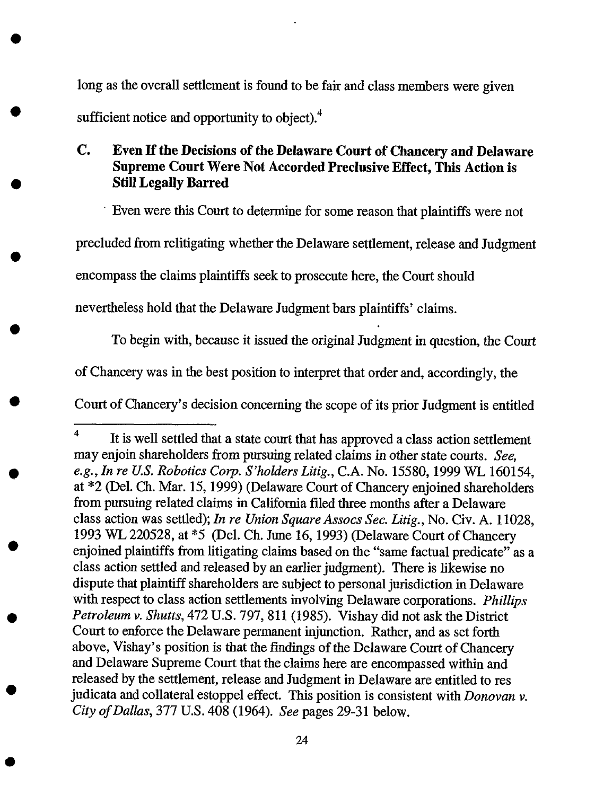long as the overall settlement is found to be fair and class members were given sufficient notice and opportunity to object).<sup>4</sup>

# **Co Even If** the **Decisions of the Delaware Court of Chancery and Delaware Supreme Court** Were **Not Accorded Preclusive Effect, This Action is Still Legally Barred**

• Even were this Court to determine for some **reason** that plaintiffs were not

precluded from relitigating whether the Delaware settlement, release and Judgment

encompass the claims plaintiffs seek to prosecute here, the Court should

nevertheless hold that the Delaware Judgment bars plaintiffs' claims.

*To* begin with, because it issued the original Judgment in question, the Court

of Chancery was **in** the best position to interpret that order and, accordingly, the

Court of Chancery's decision concerning the scope of its prior Judgment is entitled

<sup>4</sup> It **is** well settled that **a** state court that has **approved** a class action settlement may enjoin shareholders from pursuing related claims in other state courts. *See, e.g., In re U.S. Robotics Corp. S'holders Litig.,* C.A. No. 15580, 1999 WL 160154, at \*2 (Del. Ch. Mar. 15, 1999) (Delaware Court of Chancery enjoined shareholders from pursuing related claims in California filed three months after a Delaware class action was settled); *In re Union Square Assocs Sec. Litig.,* No. Cir. A. 11028, 1993 WL 220528, at \*5 (Del. Ch. June 16, *1993)* (Delaware Court of Chancery enjoined plaintiffs from litigating claims based on the "same factual predicate" as a class action settled and released by an earlier judgment). *There* is likewise no dispute that plaintiff shareholders are subject to personal jurisdiction in Delaware with respect to class action settlements involving Delaware corporations. *Phillips Petroleum v. Shutts,* 472 U.S. 797, 811 (1985). Vishay did not ask the District Court to enforce the Delaware permanent injunction. Rather, and as set forth above, Vishay's position is that the findings of the Delaware Court of Chancery and Delaware Supreme Court that the claims here are encompassed within and released by the settlement, release and Judgment in Delaware are entitled to res judicata and collateral estoppel effect. This position is consistent with *Donovan v. City of Dallas,* 377 U.S. 408 (1964). *See* pages 29-31 below.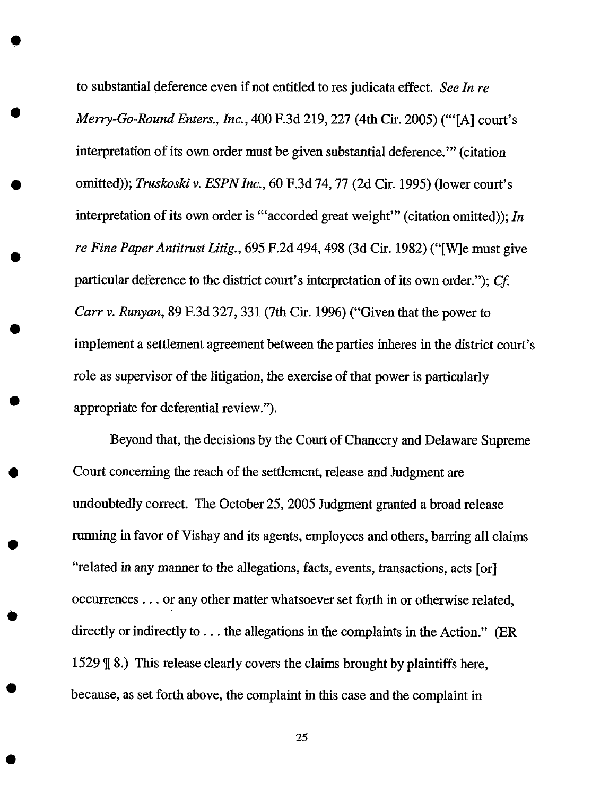to substantial deference even if not entitled to res judicata effect. *See In re Merry-Go-Round Enters., Inc.,* 400 F.3d 219, 227 (4th Cir. 2005) ("'[A] court's interpretation of its own order must be given substantial deference.'" (citation omitted)); *Truskoski v. ESPNIne.,* 60 F.3d 74, 77 (2d Cir. 1995) (lower court's interpretation of its own order is '"accorded great weight'" (citation omitted)); *In re Fine Paper Antitrust Litig.,* 695 F.2d 494, 498 (3d Cir. 1982) ("[W]e must give particular deference to the district court's interpretation of its own order."); *Cf Carrv. Runyan,* 89 F.3d 327, 331 (7th Cir. 1996) ("Given that the power to implement a settlement agreement between the parties inheres in the district court's role as supervisor of the litigation, the exercise of that power is particularly appropriate for deferential review.").

Beyond that, the decisions by the Court of Chancery and Delaware Supreme Court concerning the reach of the settlement, release and Judgment are undoubtedly correct. The October 25, 2005 Judgment granted a broad release running in favor of Vishay and its agents, employees and others, barring all claims "related in any manner to the allegations, facts, events, transactions, acts [or] occurrences.., or any other matter whatsoever set forth in or otherwise related, directly or indirectly to... the allegations in the complaints in the Action." (ER 1529  $\sqrt{9}$  8.) This release clearly covers the claims brought by plaintiffs here, because, as set forth above, the complaint in this case and the complaint in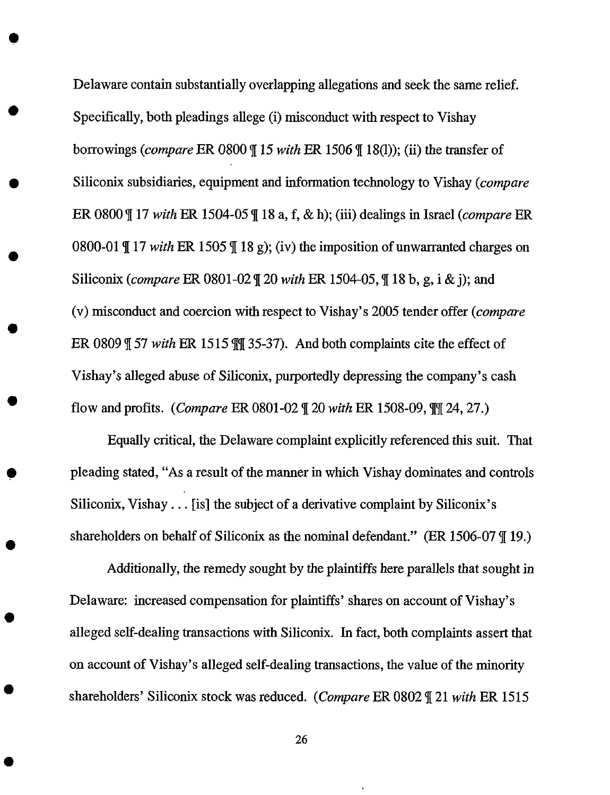Delaware contain substantially overlapping allegations and seek the same relief. Specifically, both pleadings allege (i) misconduct with respect to Vishay borrowings (compare ER 0800  $\parallel$  15 *with* ER 1506  $\parallel$  18(1)); (ii) the transfer of Siliconix subsidiaries, equipment and information technology to Vishay (compare ER 0800  $\P$  17 *with* ER 1504-05  $\P$  18 a, f, & h); (iii) dealings in Israel (*compare* ER 0800-01  $\parallel$  17 *with* ER 1505  $\parallel$  18 g); (iv) the imposition of unwarranted charges on Siliconix (*compare* ER 0801-02 \leq 20 *with* ER 1504-05, \leq 18 b, g, i & j); and (v) misconduct and coercion with respect to Vishay's 2005 tender offer (compare ER 0809 | 57 *with* ER 1515 || 35-37). And both complaints cite the effect of Vishay's alleged abuse of Siliconix, purportedly depressing the company's cash flow and profits. (Compare ER 0801-02 q[20 *with* ER 1508-09, \_[q[24, 27.)

Equally critical, the Delaware complaint explicitly referenced this suit. That pleading stated, "As a result of the manner in which Vishay dominates and controls Siliconix, Vishay... [is] the subject of a derivative complaint by Siliconix's shareholders on behalf of Siliconix as the nominal defendant." (ER 1506-07  $\parallel$  19.)

Additionally, the remedy sought by the plaintiffs here parallels that sought in Delaware: increased compensation for plaintiffs' shares on account of Vishay's alleged self-dealing transactions with Siliconix. In fact, both complaints assert that on account of Vishay's alleged self-dealing transactions, the value of the minority shareholders' Siliconix stock was reduced. (Compare ER 0802 q[21 *with* ER 1515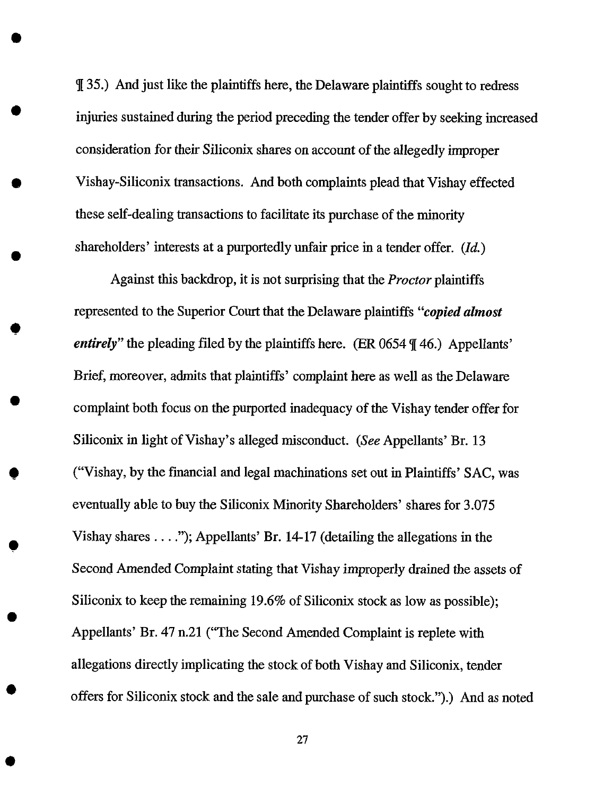\_[35.) And just like the plaintiffs here, the Delaware plaintiffs sought to redress injuries sustained during the period preceding the tender offer by seeking increased consideration for their Siliconix shares on account of the allegedly improper Vishay-Siliconix transactions. And both complaints plead that Vishay effected these self-dealing transactions to facilitate its purchase of the minority shareholders' interests at a purportedly unfair price in a tender offer.  $(Id.)$ 

Against this backdrop, it is not surprising that the *Proctor* plaintiffs represented to the Superior Court that the Delaware plaintiffs "copied *almost entirely*" the pleading filed by the plaintiffs here. (ER 0654  $\P$  46.) Appellants' *Brief,* moreover, admits that plaintiffs' complaint here as well as the Delaware complaint both focus on the purported inadequacy of the Vishay tender offer for Siliconix in light of Vishay's alleged misconduct. (See Appellants' Br. 13 ("Vishay, by the financial and legal machinations set out in Plaintiffs' SAC, was eventually able to buy the Siliconix Minority Shareholders' shares for 3.075 Vishay shares .... "); Appellants' Br. 14-17 (detailing the allegations in the Second *Amended* Complaint stating that Vishay improperly drained the assets of Siliconix to keep the remaining 19.6% of Siliconix stock as low as possible); Appellants' Br. 47 n.21 ("The Second Amended Complaint is replete with allegations directly implicating the stock of both Vishay and Siliconix, tender offers for Siliconix stock and the sale and purchase of such stock.").) And as noted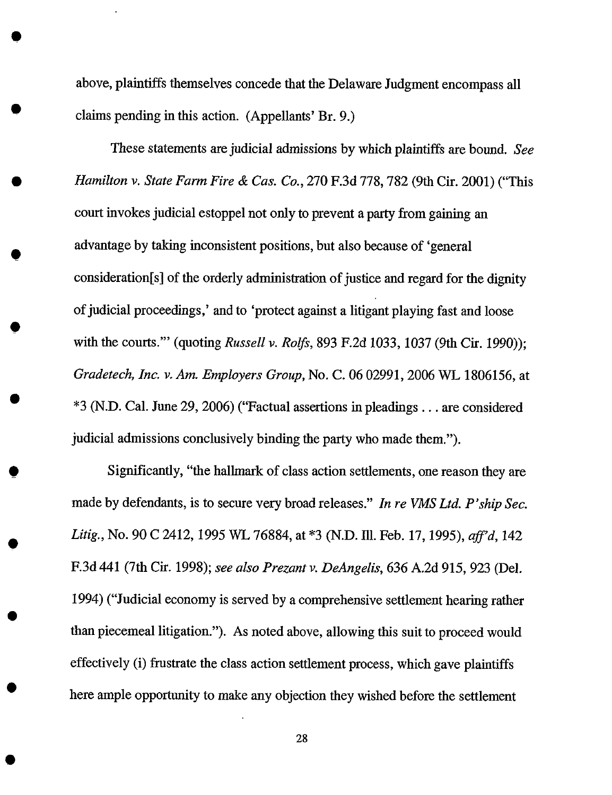above, plaintiffs themselves concede that the Delaware Judgment encompass all claims pending in this action. (Appellants' Br. 9.)

These statements are judicial admissions by which plaintiffs are bound. *See Hamilton v. State Farm Fire & Cas. Co.,* 270 F.3d 778, 782 (9th Cir. 2001) ("This court invokes judicial estoppel not only to prevent a party from gaining an advantage by taking inconsistent positions, but also because of 'general consideration[s] of the orderly administration of justice and regard for the dignity of judicial proceedings,' and to 'protect against a litigant playing fast and loose with the courts.'" (quoting *Russell v. Rolfs,* 893 F.2d 1033, *1037* (9th Cir. 1990)); *Gradetech, Inc. v. Am. Employers Group, No. C. 06 02991, 2006 WL 1806156, at* \*3 (N.D. Cal. June 29, 2006) ("Factual assertions in pleadings.., are considered judicial admissions conclusively binding the party who made them.").

Significantly, "the hallmark of class action settlements, one reason they are made by defendants, is to secure very broad releases." *In re VMS Ltd. P'ship Sec. Litig.,* No. 90 C 2412, 1995 WL 76884, at \*3 (N.D. Ill. Feb. 17, 1995), *aff'd,* 142 F.3d 441 (7th Cir. 1998); *see also Prezant v. DeAngelis,* 636 A.2d 915, 923 (Del. 1994) ("Judicial economy is served by a comprehensive settlement hearing rather than piecemeal litigation."). As noted above, allowing this suit to proceed would effectively (i) frustrate the class action settlement process, which gave plaintiffs here ample opportunity to make any objection they wished before the settlement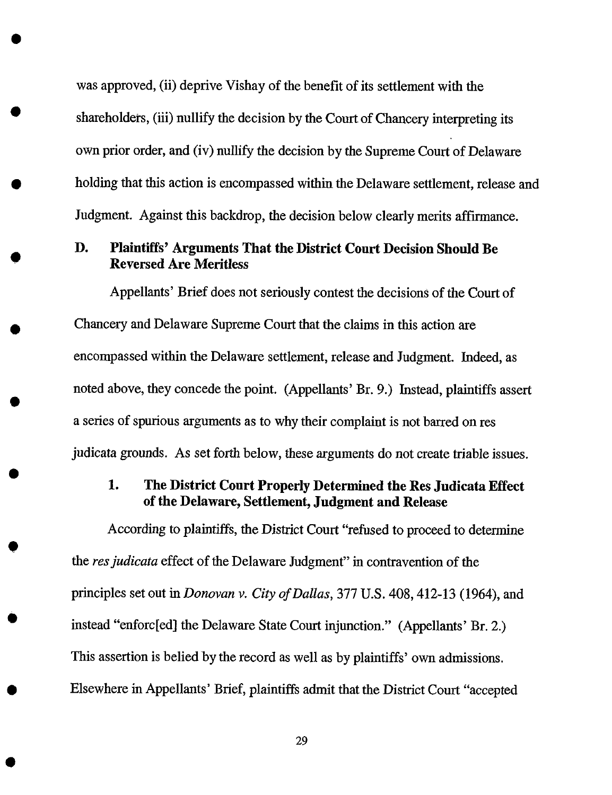was approved, (ii) deprive Vishay of the benefit of its settlement with the shareholders, (iii) nullify the decision by the Court of Chancery interpreting its own prior order, and (iv) nullify the decision by the Supreme Court of Delaware holding that this action is encompassed within the Delaware settlement, release and Judgment. Against this backdrop, the decision below clearly merits affirmance.

# D. Plaintiffs' Arguments That the District Court Decision Should Be **Reversed Are** Meritless

Appellants' Brief does not seriously contest the decisions of the Court of Chancery and Delaware Supreme Court that the claims in this action are encompassed within the Delaware settlement, release and Judgment. Indeed, as noted above, they concede the point. (Appellants' Br. 9.) Instead, plaintiffs assert a series of spurious arguments as to why their complaint is not barred on res judicata grounds. *As* set forth below, these arguments do not create triable issues.

# **1. The District Court Properly Determined the Res Judicata Effect of the Delaware, Settlement, Judgment and Release**

**According to** plaintiffs, the **District** Court "refused to proceed to determine the *resjudicata* effect of the Delaware Judgment" in contravention of the principles set out in *Donovan v. City of DaUas,* 377 U.S. 408, 412-13 (1964), and instead "enforc[ed] the Delaware State Court injunction." (Appellants' Br. 2.) This assertion is belied by the record as well as by plaintiffs' own admissions. Elsewhere in Appellants' Brief, plaintiffs admit that the District Court "accepted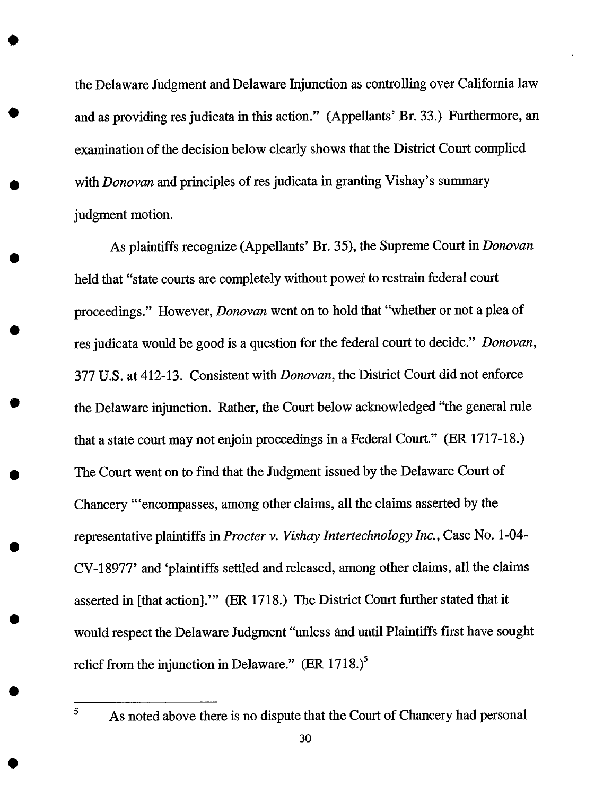the Delaware Judgment and Delaware Injunction as controlling over California law and as providing res judicata in this action." (Appellants' Br. 33.) Furthermore, an examination of the decision below clearly shows that the District Court complied with *Donovan* and principles of res judicata in granting Vishay's summary judgment motion.

As plaintiffs recognize (Appellants' Br. 35), the Supreme Court in *Donovan* held that "state courts are completely without power to restrain federal court proceedings." However, *Donovan* went on to hold that "whether or not a plea of res judicata would be good is a question for the federal court to decide." *Donovan,* 377 U.S. at 412-13. Consistent with *Donovan,* the District Court did not enforce the Delaware injunction. Rather, the Court below acknowledged "the general rule that a state court may not enjoin proceedings in a Federal Court." (ER 1717-18.) The Court went on to find that the Judgment issued by the Delaware Court of Chancery "'encompasses, among other claims, all the claims asserted by the representative plaintiffs in *Procter v. Vishay Intertechnology Inc.,* Case No. 1-04- CV-18977' and 'plaintiffs settled and released, among other claims, all the claims asserted in [that action].'" (ER 1718.) The District Court further stated **that** it would respect the Delaware Judgment "unless and until Plaintiffs first have sought relief from the injunction in Delaware."  $(ER\ 1718.)^5$ 

As noted above there is no dispute that the Court of Chancery had personal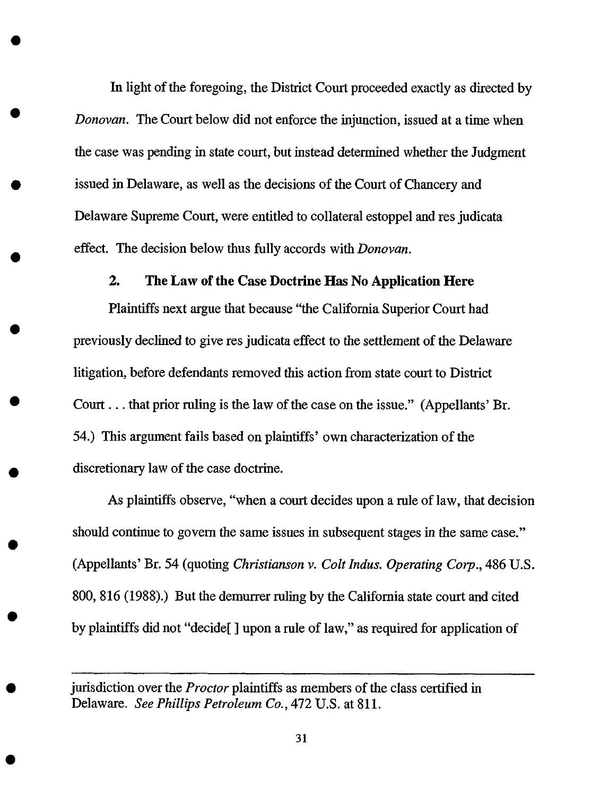In light of the foregoing, the District Court proceeded exactly as directed by *Donovan.* The Court below did not enforce the injunction, issued at a time when the case was pending in state court, but instead determined whether the Judgment issued in Delaware, as well as the decisions of the Court of Chancery and Delaware Supreme Court, were entitled to collateral estoppel and res judicata effect. The decision below thus fully accords with *Donovan.*

#### **2. The Law of the Case Doctrine Has No Application Here**

**Plaintiffs next** argue that because "the **California Superior Court** had previously declined **to** give res judicata effect **to** the settlement of the Delaware litigation, before defendants removed this action from state court to District Court... that prior ruling is the law of the case on the issue." (Appellants' Br. 54.) This argument fails based on plaintiffs' own characterization of the discretionary law of the case doctrine.

As plaintiffs observe, "when a court decides upon a rule of law, that decision should continue to govern the same issues in subsequent stages in the same case." (Appellants' Br. 54 (quoting *Christianson v. Colt Indus. Operating Corp.,* 486 U.S. 800, 816 (1988).) But the demurrer ruling by the California state court and cited by plaintiffs did not "decide[ ] upon a rule of law," as required for application of

jurisdiction over the *Proctor* plaintiffs as members of the class certified **in** Delaware. *See Phillips Petroleum Co.,* 472 U.S. at 811.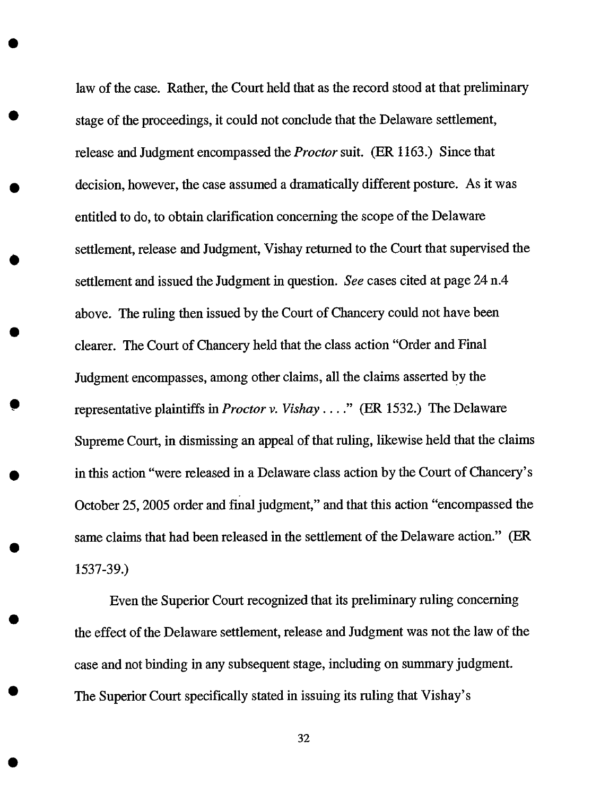law of the case. Rather, the Court held that as the record stood at that preliminary stage of the proceedings, it could not conclude that the Delaware settlement, release and Judgment encompassed the *Proctor* suit. (ER 1163.) Since that decision, however, the case assumed a dramatically different posture. As it was entitled to do, to obtain clarification concerning the scope of the Delaware settlement, release and Judgment, Vishay returned to the Court that supervised the settlement and issued the Judgment in question. *See* cases cited at page 24 n.4 above. The ruling then issued by the Court of Chancery could not have been clearer. The Court of Chancery held that the class action "Order and Final Judgment encompasses, among other claims, all the claims asserted bY the representative plaintiffs in *Proctor v. Vishay* .... " (ER 1532.) The Delaware Supreme Court, in dismissing an appeal of that ruling, likewise held that the claims in this action "were released in a Delaware class action by the Court of Chancery's October 25, 2005 order and fmal judgment," and that this action "encompassed the same claims that had been released in the settlement of the Delaware action." (ER 1537-39.)

Even the Superior Court recognized that its preliminary ruling concerning the effect of the Delaware settlement, release and Judgment was not the law of the case and not binding in any subsequent stage, including on summary judgment. The Superior Court specifically stated in issuing its ruling that Vishay's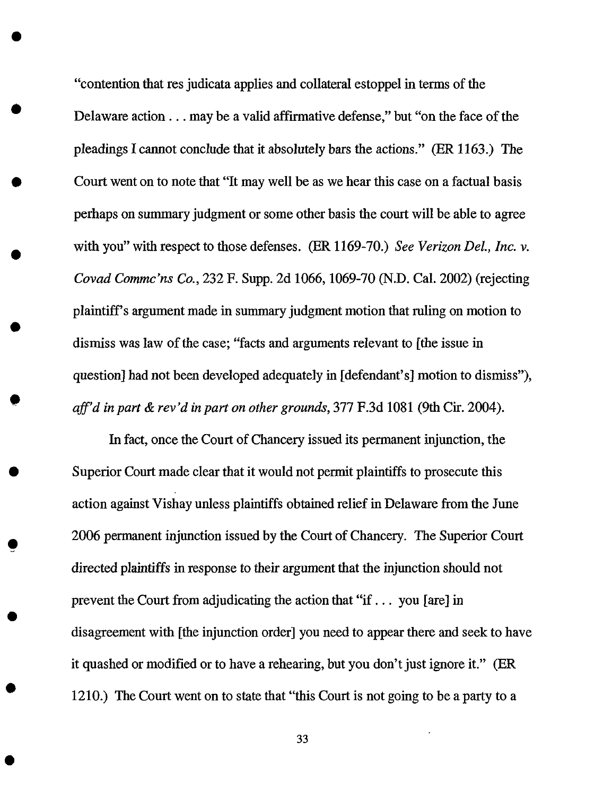"contention that res judicata applies and collateral estoppel in terms of the Delaware action.., may be a valid affirmative defense," but "on the face of the pleadings I cannot conclude that it absolutely bars the actions." (ER 1163.) The Court went on to note that "It may well be as we hear this case on a factual basis perhaps on summary judgment or some other basis the court will be able to agree with you" with respect to those defenses. (ER 1169-70.) *See Verizon DeL, Inc. v. Covad Commc'ns Co.,* 232 F. Supp. 2d 1066, 1069-70 (N.D. Cal. 2002) (rejecting plaintiff's argument made in summary judgment motion that ruling on motion to dismiss was law of the case; "facts and arguments relevant to [the issue in question] had not been developed adequately in [defendant's] motion to dismiss"), *aff'd in part & rev'd in part on other grounds,* 377 F.3d 1081 (9th Cir. 2004).

O

In fact, once the Court of Chancery issued its permanent injunction, the Superior Court made clear that it would not permit plaintiffs to prosecute this action against Vishay unless plaintiffs obtained relief in Delaware from the June 2006 permanent injunction issued by the Court of Chancery. The Superior Court directed *plaintiffs* in response to their argument that the injunction should not prevent the Court from adjudicating the action that "if... you [are] in disagreement with [the injunction order] you need to appear there and seek to have it quashed or modified or to have a rehearing, but you don't just ignore it." (ER 1210.) The Court went on to state that "this Court is not going to be a party to a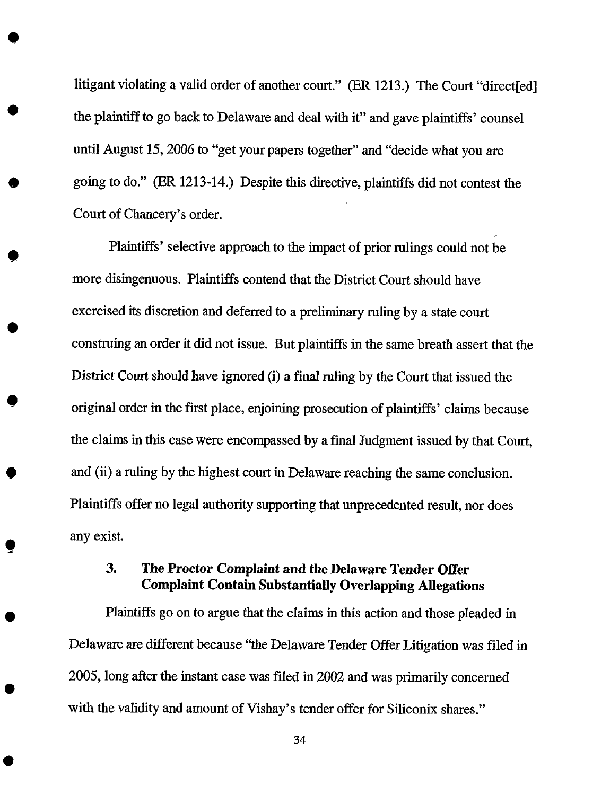litigant violating a valid order of another court." (ER 1213.) The Court "direct [ed] the plaintiff to go back to Delaware and deal with it" and gave plaintiffs' counsel until *August* 15, 2006 to "get your papers together" and "decide what you are going to do." (ER 1213-14.) Despite this directive, plaintiffs did not contest the Court of Chancery's order.

Plaintiffs' selective approach to the impact of prior rulings could not be more disingenuous. Plaintiffs contend that the District Court should have exercised its discretion and deferred to a preliminary ruling by a state court construing an order it did not issue. But plaintiffs in the same breath assert that the District Court should have ignored (i) a final ruling by the Court *that* issued the original order in the first place, enjoining prosecution of plaintiffs' claims because the claims in this case were encompassed by a final Judgment issued by that Court, and (ii) a ruling by the highest court in Delaware reaching the same conclusion. Plaintiffs offer no legal authority supporting that unprecedented result, nor does any exist.

# 3. **The Proctor Complaint and the Delaware Tender Offer Complaint Contain Substantially Overlapping Allegations**

Plaintiffs go on **to** argue that the claims in this action and those pleaded in *Delaware* are different because "the Delaware *Tender Offer* Litigation was filed in 2005, long after the instant case was filed in 2002 and was primarily concerned with the validity and amount of Vishay's tender offer for Siliconix shares."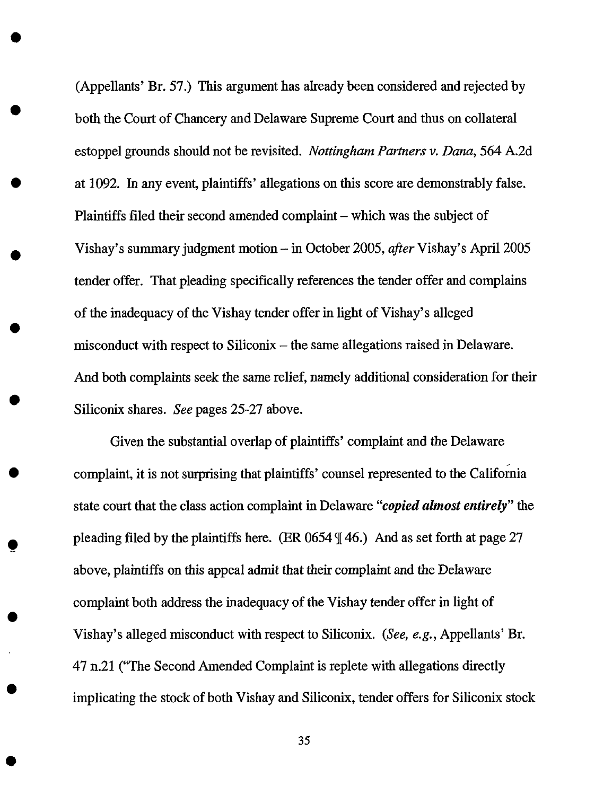(Appellants' Br. 57.) This argument has already been considered and rejected by both the Court of Chancery and Delaware Supreme Court and thus on collateral estoppel grounds should not be revisited. *Nottingham Partners v. Dana,* 564 *A.2d* at 1092. In any event, plaintiffs' allegations on this score are demonstrably false. Plaintiffs filed their second amended complaint – which was the subject of Vishay's summary judgment motion-in October 2005, *after* Vishay's April 2005 tender offer. That pleading specifically references the tender offer and complains of the inadequacy of the Vishay tender offer in light of Vishay's alleged misconduct with respect to Siliconix – the same allegations raised in Delaware. *And* both complaints seek the same relief, namely additional consideration for their Siliconix shares. *See* pages 25-27 above.

O

Given the substantial overlap of plaintiffs' complaint and the Delaware complaint, it is not surprising that plaintiffs' counsel represented to the California state court that the class action complaint in Delaware "copied *almost entirely"* the pleading filed by the plaintiffs here. (ER 0654 \_[46.) *And* as set forth at page 27 above, plaintiffs on this appeal admit that their complaint and the Delaware complaint both address the inadequacy of the Vishay tender offer in light of Vishay's alleged misconduct with respect to Siliconix. (See, *e.g.,* Appellants' Br. 47 n.21 ("The Second Amended Complaint is replete with allegations directly implicating the stock of both Vishay and Siliconix, tender offers for Siliconix stock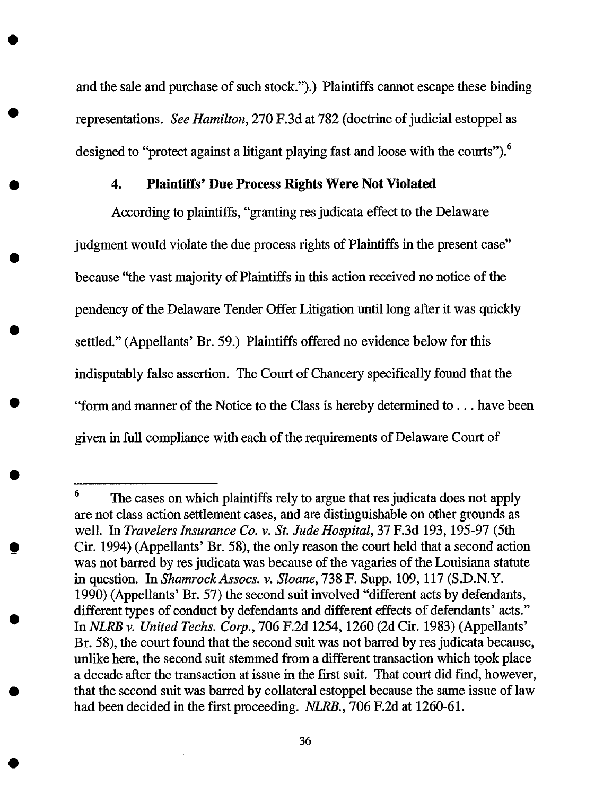and the sale and purchase of such stock.").) Plaintiffs cannot escape these binding representations. *See Hamilton,* 270 F.3d at 782 (doctrine of judicial estoppel as designed to "protect against a litigant playing fast and loose with the courts").<sup>6</sup>

#### 4. Plaintiffs' Due Process Rights Were Not Violated

According to plaintiffs, "granting res judicata effect to the Delaware judgment would violate the due process rights of Plaintiffs in the present case" because "the vast majority of Plaintiffs in this action received no notice of the pendency of the Delaware Tender Offer Litigation until long after it was quickly settled." (Appellants' Br. 59.) Plaintiffs offered no evidence below for this indisputably false assertion. The Court of Chancery specifically found that the "form and manner of the Notice to the Class is hereby determined to... have been given in full compliance with each of the requirements of Delaware Court of

<sup>&</sup>lt;sup>6</sup> The cases on which plaintiffs rely to argue that res judicata does not apply are not class action settlement cases, and are distinguishable on other grounds as well. In *Travelerslnsurance Co. v. St. Jude Hospital,* 37 F.3d 193, 195-97 (5th Cir. 1994) (Appellants' Br. 58), the only reason the court held that a second action was not barred by res judicata was because of the vagaries of the Louisiana statute in question. In *ShamrockAssocs. v. Sloane,* 738 F. Supp. 109, 117 (S.D.N.Y. 1990) (Appellants' Br. 57) the second suit involved "different acts by defendants, different types of conduct by defendants and different effects of defendants' acts." In *NLRB v. United Techs. Corp.,* 706 F.2d 1254, 1260 (2d Cir. 1983) (Appellants' Br. 58), the court found that the second suit was not barred by res judicata because, unlike here, the second suit stemmed from a different transaction which took place a decade after the transaction at issue in the first suit. That court did find, however, that the second suit was barred by collateral estoppel because the same issue of law had been decided in the first proceeding. *NLRB.,* 706 F.2d at 1260-61.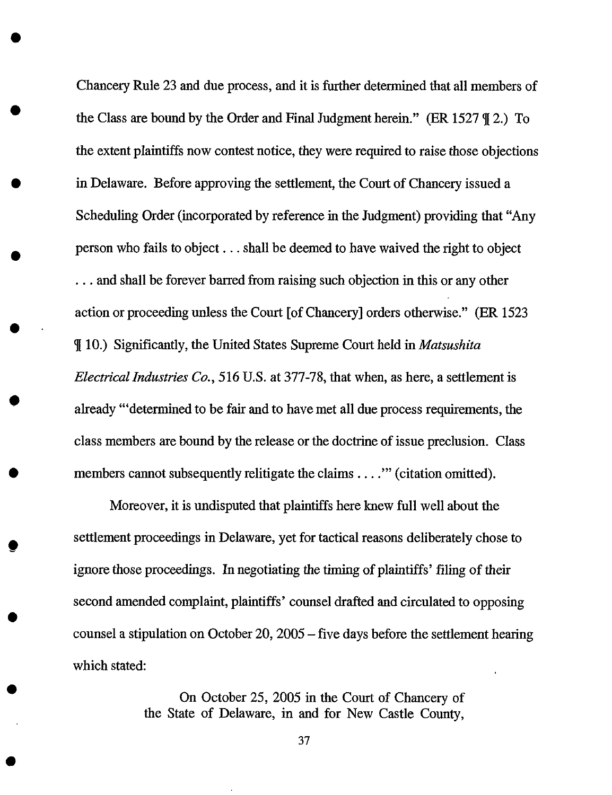Chancery Rule 23 and due process, and it is further determined that all members of the Class are bound by the Order and Final Judgment herein." (ER 1527  $\parallel$  2.) To the extent plaintiffs now contest notice, they were required to raise those objections in Delaware. Before approving the settlement, the Court of Chancery issued a Scheduling Order (incorporated by reference in the Judgment) providing that "Any person who fails to object.., shall be deemed to have waived the right to object ... and shall be forever barred from raising such objection in this or any other action or proceeding unless the Court [of Chancery] orders otherwise." (ER 1523 q[ 10.) Significantly, the United States Supreme Court held in *Matsushita Electrical Industries Co.,* 516 U.S. at 377-78, that when, as here, a settlement is already "'determined to be fair and to have met all due process requirements, the class members are bound by the release or the doctrine of issue preclusion. Class members cannot subsequently relitigate the claims . . . . " (citation omitted).

Moreover, it is undisputed that plaintiffs here knew full well about the settlement proceedings in Delaware, yet for tactical reasons deliberately chose to ignore those proceedings. *In* negotiating the timing of plaintiffs' filing of their second amended complaint, plaintiffs' counsel drafted and circulated to opposing counsel a stipulation on October 20, 2005 - five days before the settlement hearing which stated:

> On October 25, 2005 in the Court of Chancery of the State of Delaware, in and for New Castle County,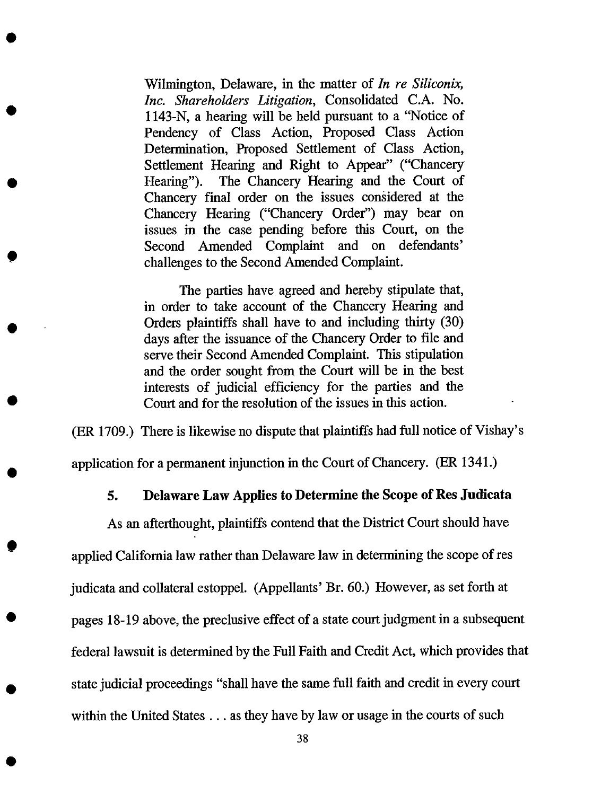Wilmington, Delaware, in the matter of *In re Siliconix, Inc. Shareholders Litigation,* Consolidated C.A. No. 1143-N, a hearing will be held pursuant to a "Notice of Pendency of Class Action, Proposed Class Action Determination, Proposed Settlement of Class Action, Settlement Hearing and Right to Appear" ("Chancery Heating"). The Chancery Hearing and the Court of Chancery final order on the issues considered at the Chancery Hearing ("Chancery Order") may bear on issues in the case pending before this Court, on the Second Amended Complaint and on defendants' challenges to the Second Amended Complaint.

The parties have agreed and hereby stipulate that, in order to take account of the Chancery Hearing and Orders plaintiffs shall have to and including thirty (30) days after the issuance of the Chancery Order to file and serve their Second Amended Complaint. This stipulation and the order sought from the Court will be in the best interests of judicial efficiency for the parties and the Court and for the resolution of the issues in this action.

(ER 1709.) There is likewise no dispute that plaintiffs had full notice of Vishay's application for a permanent injunction in the Court of Chancery. (ER 1341.)

#### **5. Delaware Law Applies to Determine** the Scope **of Res Judicata**

**As** an **afterthought,** plaintiffs contend that the District Court should have applied California law rather than Delaware **law** in determining the scope of res judicata and collateral estoppel. (Appellants' Br. 60.) However, **as** set forth at pages 18-19 above, the preclusive effect of a state court judgment in a subsequent federal lawsuit is determined by the Full Faith and Credit Act, which provides that state judicial proceedings "shall have the same full faith and credit in every court within the United States... as they have by law or usage in the courts of such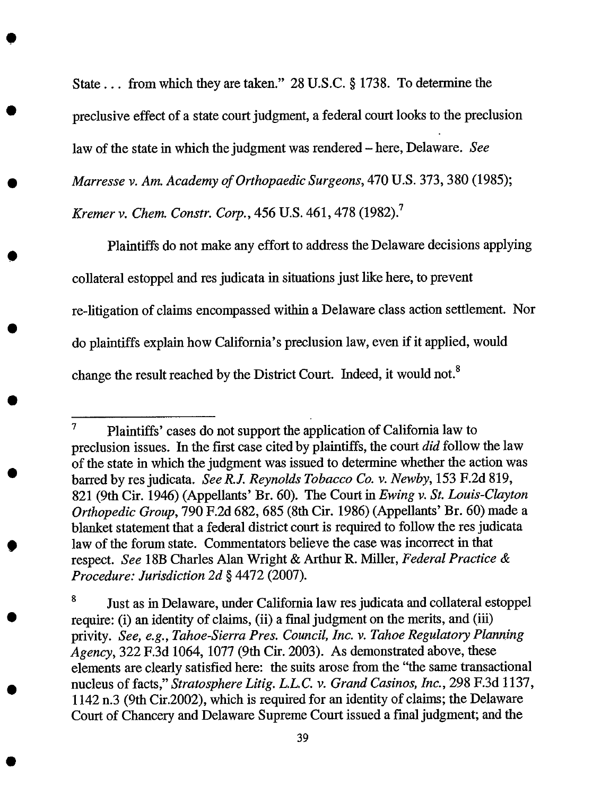State... from which they are taken." 28 U.S.C. § 1738. To determine the preclusive effect of a state court judgment, a federal court looks to the preclusion law of the state in which the judgment was rendered - here, Delaware. See *Marresse v. Am. Academy of Orthopaedic Surgeons,* 470 U.S. 373,380 (1985); *Kremer v. Chem. Constr. Corp.,* 456 U.S. 461,478 (1982). 7

Plaintiffs do not make any effort to address the Delaware decisions applying collateral estoppel and res judicata in situations just like here, to prevent re-litigation of claims encompassed within a Delaware class action settlement. Nor do plaintiffs explain how California's preclusion law, even if it applied, would change the result reached by the District Court. Indeed, it would not.<sup>8</sup>

<sup>&</sup>lt;sup>7</sup> Plaintiffs' cases do not support the application of California law to preclusion issues. In the first case cited by plaintiffs, the court *did* follow the law of the state in which the judgment was issued to determine whether the action was barred by res judicata. *See R.J. Reynolds Tobacco Co. v. Newby,* 153 F.2d 819, 821 (9th Cir. 1946) (Appellants' Br. 60). The Court in *Ewing v. St. Louis-Clayton Orthopedic Group,* 790 F.2d 682, 685 (8th Cir. 1986) (Appellants' Br. 60) made a blanket statement that a federal district court is required to follow the res judicata law of the forum state. Commentators believe the case was incorrect in that respect. *See* 18B Charles Alan Wright & Arthur R. Miller, *Federal Practice & Procedure: Jurisdiction 2d* § 4472 (2007).

<sup>&</sup>lt;sup>8</sup> Just as in Delaware, under California law res judicata and collateral estoppel require: (i) an identity of claims, (ii) a final judgment on the merits, and (iii) privity. *See, e.g., Tahoe-Sierra Pres. Council, lnc. v. Tahoe Regulatory Planning Agency,* 322 F.3d 1064, 1077 (9th Cir. 2003). As demonstrated above, these elements are clearly satisfied here: the suits arose from the "the same transactional nucleus of facts," *Stratosphere Litig. L.L.C. v. Grand Casinos, Inc.,* 298 F.3d 1137, 1142 n.3 (9th Cir.2002), which is required for an identity of claims; the Delaware Court of Chancery and Delaware Supreme Court issued a fmal judgment; and the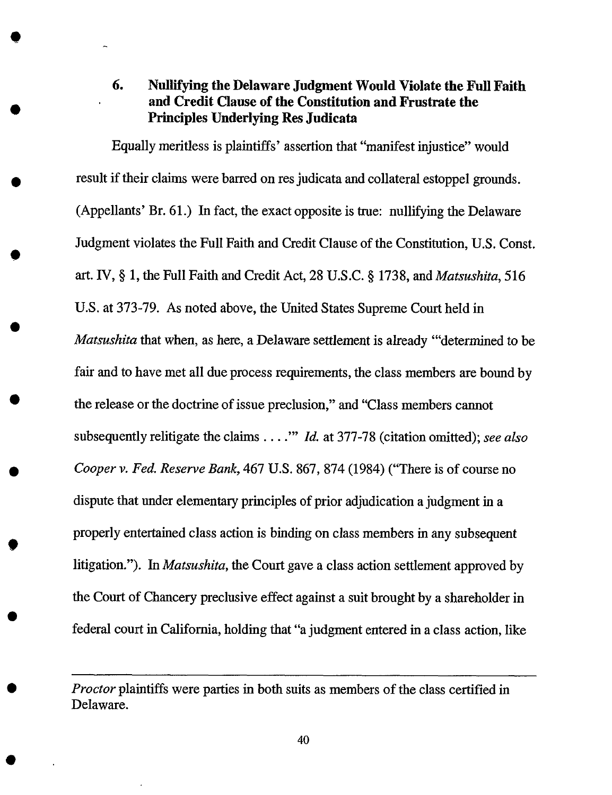# **6. Nullifying the Delaware Judgment Would Violate the Full Faith and Credit Clause of** the **Constitution and Frustrate the Principles Underlying Res Judicata**

O

Equally meritless is plaintiffs' assertion that "manifest injustice" would result if their claims were barred on res judicata and collateral estoppel grounds. (Appellants' Br. 61.) In fact, the exact opposite is true: nullifying the Delaware Judgment violates the Full Faith and Credit Clause of the Constitution, U.S. Const. art. IV, § 1, the Full Faith and Credit Act, 28 U.S.C. § 1738, and *Matsushita,* 516 U.S. at 373-79. As noted above, the United States Supreme Court held in *Matsushita* that when, as here, a Delaware settlement is already '"determined to be fair and to have met all due process requirements, the class members are bound by the release or the doctrine of issue preclusion," and "Class members cannot subsequently relitigate the claims .... '" *Id.* at 377-78 (citation omitted); *see also Cooper v. Fed. Reserve Bank,* 467 U.S. 867, 874 (1984) ("There is of course no dispute that under elementary principles of prior adjudication a judgment in a properly entertained class action is binding on class members in any subsequent litigation."). In *Matsushita,* the Court gave a class action settlement approved by the Court of Chancery preclusive effect against a suit brought by a shareholder in federal court in California, holding that "a judgment entered in a class action, like

*Proctor* plaintiffs were parties in both suits as members of the class certified **in** Delaware.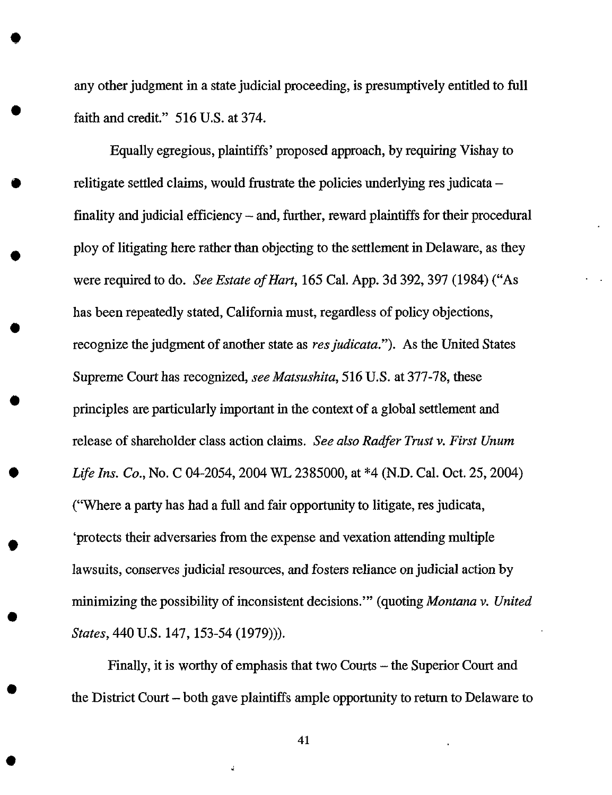any other judgment in a state judicial proceeding, is presumptively entitled to full faith and credit." 516 U.S. at 374.

O

O

O

 $\bullet$ 

 $\bullet$ 

Equally egregious, plaintiffs' proposed approach, by requiring Vishay to relitigate settled claims, would frustrate the policies underlying res judicata – finality and judicial efficiency – and, further, reward plaintiffs for their procedural ploy of litigating here rather than objecting to the settlement in Delaware, as they were required to do. *See Estate of Hart,* 165 Cal. App. 3d 392, 397 (1984) ("As has been repeatedly stated, California must, regardless of policy objections, recognize the judgment of another state as *resjudicata.").* As the United States Supreme Court has recognized, *see Matsushita,* 516 U.S. at 377-78, these principles are particularly important in the context of a global settlement and release of shareholder class action claims. *See also Radfer Trust v. First Unum Life Ins. Co.,* No. C 04-2054, 2004 WL 2385000, at \*4 (N.D. Cal. Oct. 25, 2004) ("Where a party has had a full and fair opportunity to litigate, res judicata, 'protects their adversaries from the expense and vexation attending multiple lawsuits, conserves judicial resources, and fosters reliance on judicial action by minimizing the possibility of inconsistent decisions.'" (quoting *Montana v. United States,* 440 U.S. 147, 153-54 (1979))).

Finally, it is worthy of emphasis that two Courts - the Superior Court and the District Court - both gave plaintiffs ample opportunity to return to Delaware to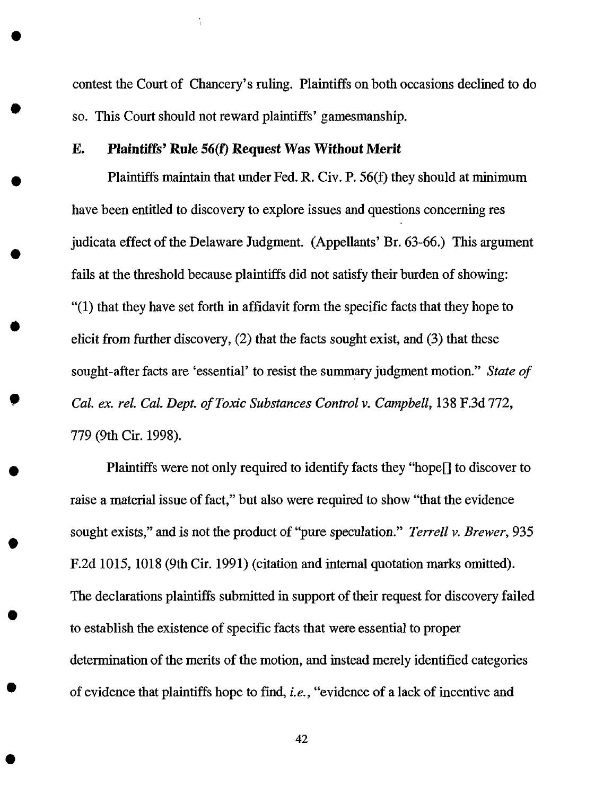contest the Court **of** Chancery's ruling. Plaintiffs on both occasions declined to **do** so. This Court should not reward plaintiffs' gamesmanship.

#### E. Plaintiffs' **Rule 56(19** Request Was Without Merit

 $\bullet$ 

Plaintiffs maintain that under Fed. R. Cir. P. 56(f) they should at minimum have been entitled to discovery to explore issues and questions concerning res judicata effect of the Delaware Judgment. (Appellants' Br. 63-66.) This argument fails at the threshold because plaintiffs did not satisfy their burden of showing: "(1) that they have set forth in affidavit form the specific facts that they hope to elicit from further discovery, (2) that the facts sought exist, and (3) that these sought-after facts are 'essential' to resist the summary judgment motion." *State of Cal. ex. rel. Cal. Dept. of Toxic Substances Control v. Campbell,* 138 F.3d 772, 779 (9th Cir. 1998).

Plaintiffs were not only required to identify facts they "hope[] to discover to raise a material issue of **fact,"** but also were required to show "that the evidence sought exists," and is not the product of "pure speculation." *Terrell v. Brewer,* 935 F.2d 1015, 1018 (9th Cir. 1991) (citation and internal quotation marks omitted). The declarations plaintiffs submitted in support of their request for discovery failed to establish the existence of specific facts that were essential to proper determination of the merits of the motion, and instead merely identified categories of evidence that plaintiffs hope to **find,** *i.e.,* "evidence of a lack of incentive and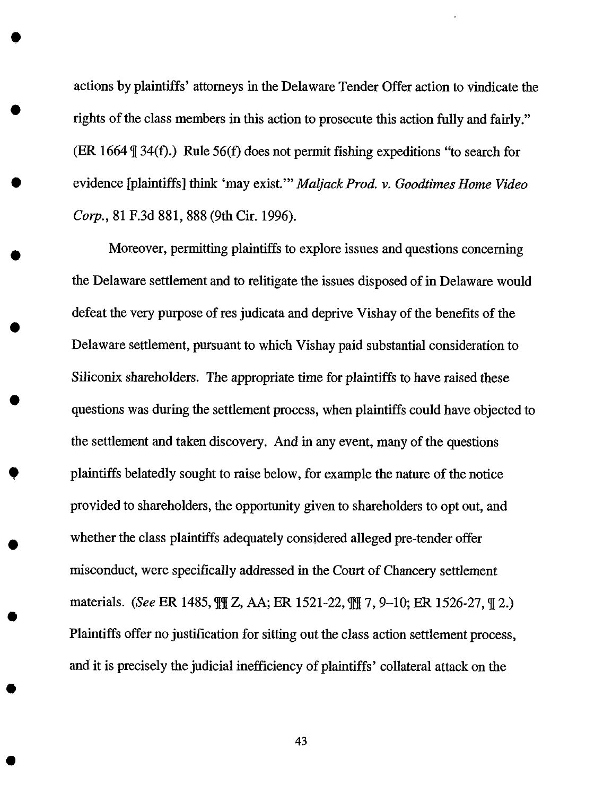actions by plaintiffs' attomeys in the Delaware Tender Offer action to vindicate the rights of the class members in this action to prosecute this action fully and fairly." (ER 1664  $\parallel$  34(f).) Rule 56(f) does not permit fishing expeditions "to search for evidence [plaintiffs] think 'may exist.'" *Maljack Prod. v. Goodtimes Home Video Corp.,* 81 F.3d 881,888 (9th Cir. 1996).

Moreover, permitting plaintiffs to explore issues and questions concerning the Delaware settlement and to relitigate the issues disposed of in Delaware would defeat the very purpose of res judicata and deprive Vishay of the benefits of the Delaware settlement, pursuant to which Vishay paid substantial consideration to Siliconix shareholders. The appropriate time for plaintiffs to have raised these questions was during the settlement process, when plaintiffs could have objected to the settlement and taken discovery. And in any event, many of the questions plaintiffs belatedly sought to raise below, for example the nature of the notice provided to shareholders, the opportunity given to shareholders to opt out, and whether the class plaintiffs adequately considered alleged pre-tender offer misconduct, were specifically addressed in the Court of Chancery settlement materials. (See ER 1485,  $\frac{m}{2}$ , AA; ER 1521-22,  $\frac{m}{2}$ , 9-10; ER 1526-27,  $\frac{m}{2}$ .) Plaintiffs offer no justification for sitting out the class action settlement process, and it is precisely the judicial inefficiency of plaintiffs' collateral attack on the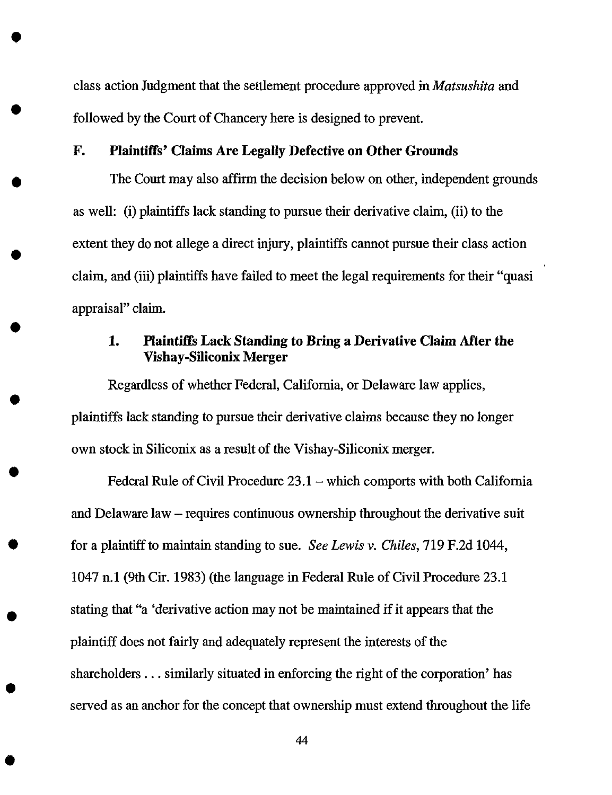class action Judgment that the settlement procedure **approved** in *Matsushita* and followed by the Court of Chancery here is designed to prevent.

#### F. Plaintiffs' **Claims** Are *Legally* Defective on Other Grounds

O

 $\bullet$ 

The Court may also affirm the decision below on other, independent grounds as well: (i) plaintiffs lack standing to pursue their derivative claim, (ii) to the extent they do not allege a direct injury, plaintiffs cannot pursue their class action claim, and (iii) plaintiffs have failed to meet the legal requirements for their "quasi appraisal" claim.

# 1. **Plaintiffs** *Lack Standing to Bring* a Derivative Claim *After* **the** Vishay-Siliconix Merger

Regardless of whether Federal, California, or Delaware law applies, plaintiffs lack standing to pursue their derivative claims because they no longer own stock in Siliconix as a result of the Vishay-Siliconix merger.

Federal Rule of Civil Procedure 23.1 – which comports with both California and Delaware law - requires continuous ownership throughout the derivative suit for a plaintiff to maintain standing to sue. *See Lewis v. Chiles,* 719 F.2d 1044, 1047 n.1 (9th Cir. 1983) (the language in Federal Rule of Civil Procedure 23.1 stating that "a 'derivative action may not be maintained if it appears that the plaintiff does not fairly and adequately represent the interests of the shareholders.., similarly situated in enforcing the right of the corporation' has served as an anchor for the concept that ownership must extend **throughout** the life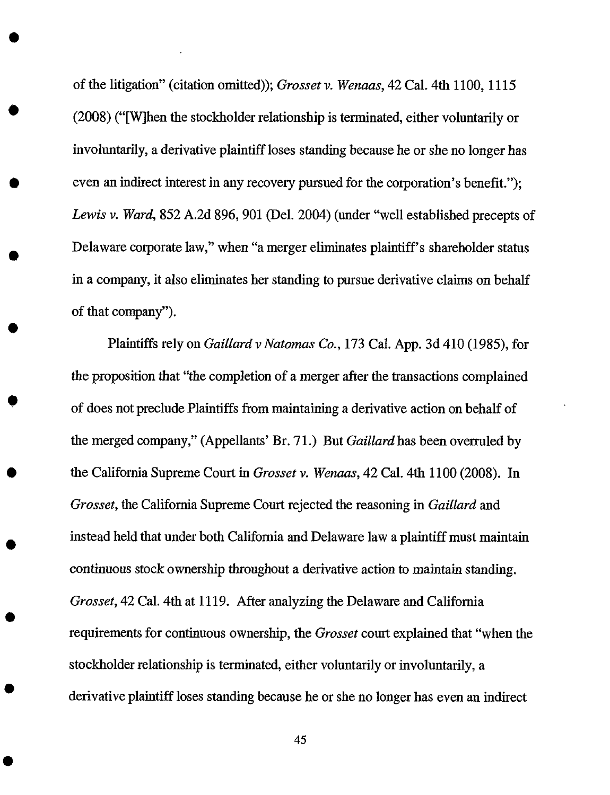of the litigation" (citation omitted)); *Grosset v. Wenaas,* 42 Cal. 4th 1100, 1115 (2008) ("[W]hen the stockholder relationship is terminated, either voluntarily or involuntarily, a derivative plaintiff loses standing because he or she no longer has even an indirect interest in any recovery pursued for the corporation's benefit."); *Lewis v. Ward,* 852 A.2d 896, 901 (Del. 2004) (under "well established precepts of Delaware corporate law," when "a merger eliminates plaintiff's shareholder status in a company, it also eliminates her standing to pursue derivative claims on behalf of that company").

Plaintiffs rely on *GaiUard v Natomas Co.,* 173 Cal. App. 3d 410 (1985), for *the* proposition that "the completion of a merger after the transactions complained of does not preclude Plaintiffs from maintaining a derivative action on behalf of the merged company," (Appellants' Br. 71.) But *Gaillard* has been overruled by the Califomia Supreme Court in *Grosset v. Wenaas,* 42 Cal. 4th 1100 (2008). In *Grosset,* the Califomia Supreme Court rejected the reasoning in *Gaillard* and instead held that under both California and Delaware law a plaintiff must maintain continuous stock ownership throughout a derivative action to maintain standing. *Grosset,* 42 Cal. 4th at 1119. After analyzing the Delaware and California requirements for continuous ownership, the *Grosset* court explained that "when the stockholder relationship is terminated, either voluntarily or involuntarily, a derivative plaintiff loses standing because he or she no longer has even an indirect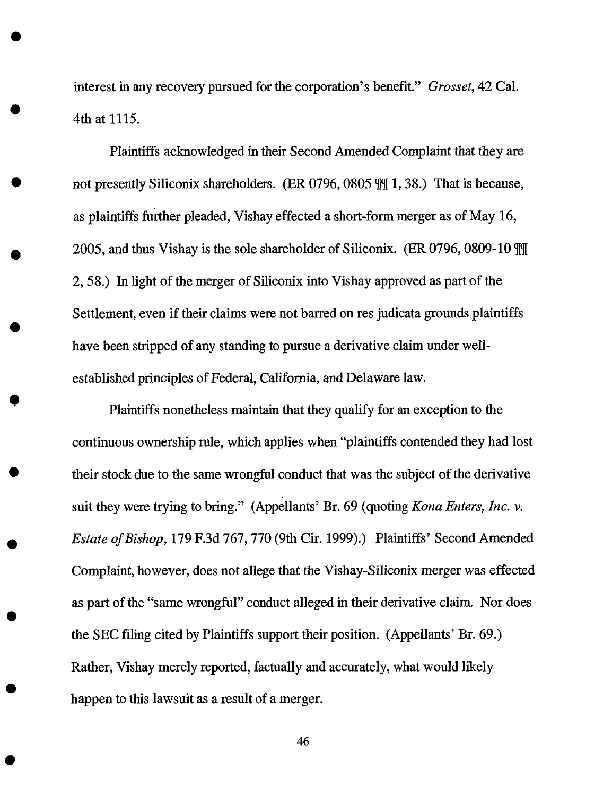interest in any recovery pursued for the corporation's benefit." *Grosset,* 42 Cal. 4th at 1115.

Plaintiffs acknowledged in their Second *Amended* Complaint that they are not presently Siliconix shareholders. (ER 0796, 0805  $\frac{10!}{1, 38}$ .) That is because, as plaintiffs further pleaded, Vishay effected a short-form merger as of May 16, 2005, and thus Vishay is the sole shareholder of Siliconix. (ER 0796, 0809-10  $\overline{m}$ ) 2, 58.) In light of the merger of Siliconix into Vishay approved as part of the Settlement, even if their claims were not barred on res judicata grounds plaintiffs have been stripped of any standing to pursue a derivative claim under wellestablished principles of Federal, California, and Delaware law.

Plaintiffs nonetheless maintain that they qualify for an exception to the continuous ownership rule, which applies when "plaintiffs contended they had lost their stock due to the same wrongful conduct that was the subject of the derivative suit they were trying to bring." (Appellants' Br. 69 (quoting *Kona Enters, Inc. v. Estate of Bishop,* 179 F.3d 767, 770 (9th Cir. 1999).) Plaintiffs' Second Amended Complaint, however, does not allege that the Vishay-Siliconix merger was effected as part of the "same wrongful" conduct alleged in their derivative claim. Nor does the SEC filing cited by Plaintiffs support their position. (Appellants' Br. 69.) Rather, Vishay merely reported, factually and accurately, what would likely happen to this lawsuit as a result of a merger.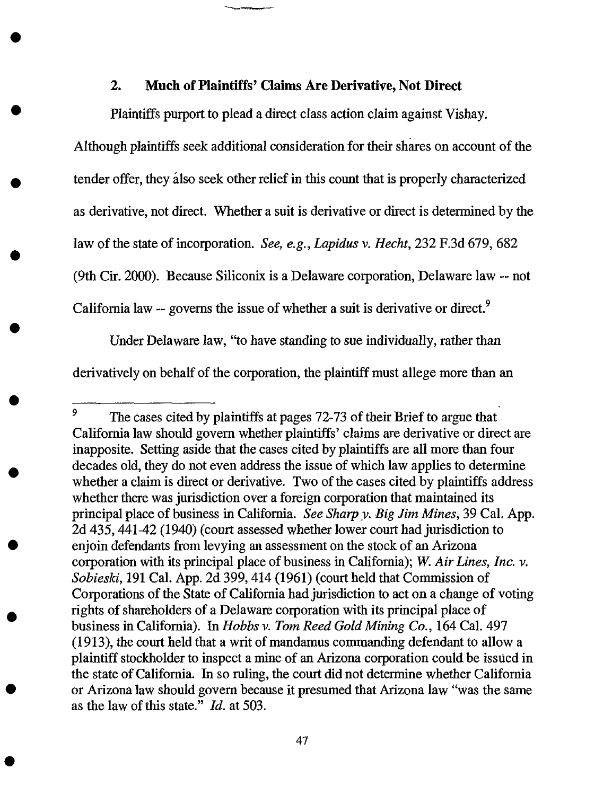#### **2. Much of Plaintiffs'** Claims **Are Derivative, Not Direct**

**Plaintiffs** purport to plead **a** direct class action claim against Vishay.

*Although* plaintiffs seek additional consideration for their shares on account of the tender offer, they *idso* seek other relief in this count that is properly characterized as derivative, not direct. Whether a suit is derivative or direct is determined by the law of the state of incorporation. *See, e.g., Lapidus v. Hecht,* 232 F.3d 679, 682 (9th Cir. 2000). Because Siliconix is a Delaware **corporation,** Delaware law -- not California law  $-$  governs the issue of whether a suit is derivative or direct.<sup>9</sup>

Under Delaware law, "to have standing to sue individually, rather than derivatively on behalf of the corporation, the plaintiff must allege more than an

<sup>&</sup>lt;sup>9</sup> The cases cited by plaintiffs at pages 72-73 of their Brief to argue that California law should govern whether plaintiffs' claims are derivative or direct are inapposite. Setting aside that the cases cited by plaintiffs are all more than four decades old, they do not even address the issue of which law applies to determine whether a claim is direct or derivative. Two of the cases cited by plaintiffs address whether there was jurisdiction over a foreign corporation that maintained its principal place of business in California. *See Sharpy. Big Jim Mines,* 39 Cal. App. 2d 435, 441-42 (1940) (court assessed whether lower court had jurisdiction to enjoin defendants from levying an assessment on the stock of an Arizona corporation with its principal place of business in Califomia); *W. Air Lines, Inc. v. Sobieski,* 191 Cal. App. 2d 399, 414 (1961) (court held that Commission of Corporations of the State of California had jurisdiction to act on a change of voting rights of shareholders of a Delaware corporation with its principal place of business in California). In *Hobbs v. Tom Reed Gold Mining Co.,* 164 Cal. 497 (1913), the court held that a writ of mandamus commanding defendant to allow a plaintiff stockholder to inspect a mine of an Arizona corporation could be issued in the state of California. In so ruling, the court did not determine whether California or Arizona law should govern because it presumed that *Arizona* law "was the same as the law of this state." *Id.* at 503.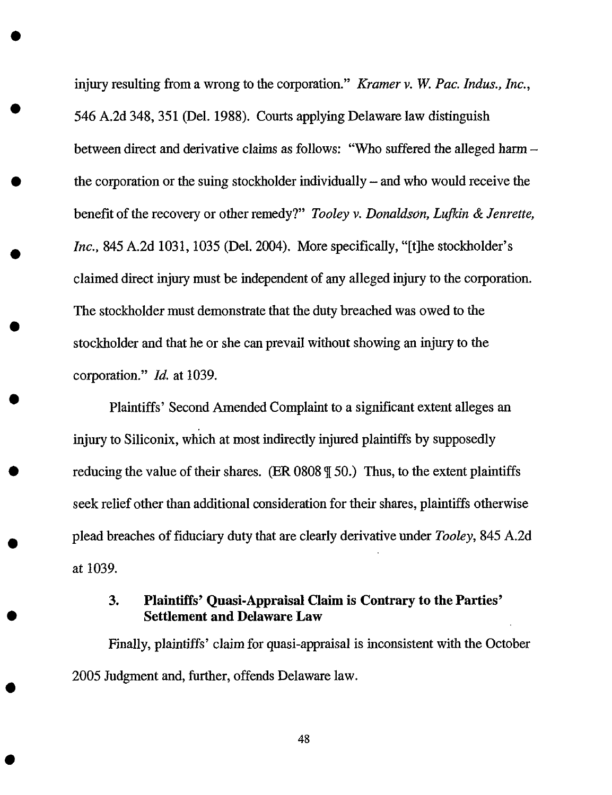injury resulting from a wrong to the corporation." *Kramer v. W. Pac. Indus., Inc.,* 546 A.2d 348, 351 (Del. 1988). Courts applying Delaware law distinguish between direct and derivative claims as follows: "Who suffered the alleged harm the corporation or the suing stockholder individually – and who would receive the benefit of the recovery or other remedy?" *Tooley v. Donaldson, Lufkin & Jenrette, Inc.,* 845 A.2d 1031, 1035 (Del. 2004). More specifically, "[t]he stockholder's claimed direct injury must be independent of any alleged injury to the corporation. The stockholder must demonstrate that the duty breached was owed to the stockholder and that he or she can prevail without showing an injury to the corporation." *ld.* at 1039.

Plaintiffs' Second Amended Complaint to a significant extent alleges an injury to Siliconix, which at most indirectly injured plaintiffs by supposedly reducing the value of their shares. (ER  $0808 \text{ }\mathcal{F}$  50.) Thus, to the extent plaintiffs seek relief other than additional consideration for their shares, plaintiffs otherwise plead breaches of fiduciary duty that are clearly derivative under *Tooley,* 845 A.2d at 1039.

# 3. Plaintiffs' Quasi-Appraisal Claim is Contrary to the Parties' Settlement and **Delaware Law**

**Finally,**plaintiffs' claim **for** quasi-appraisal is inconsistent **with** the October 2005 Judgment and,**further,**offends **Delaware** law.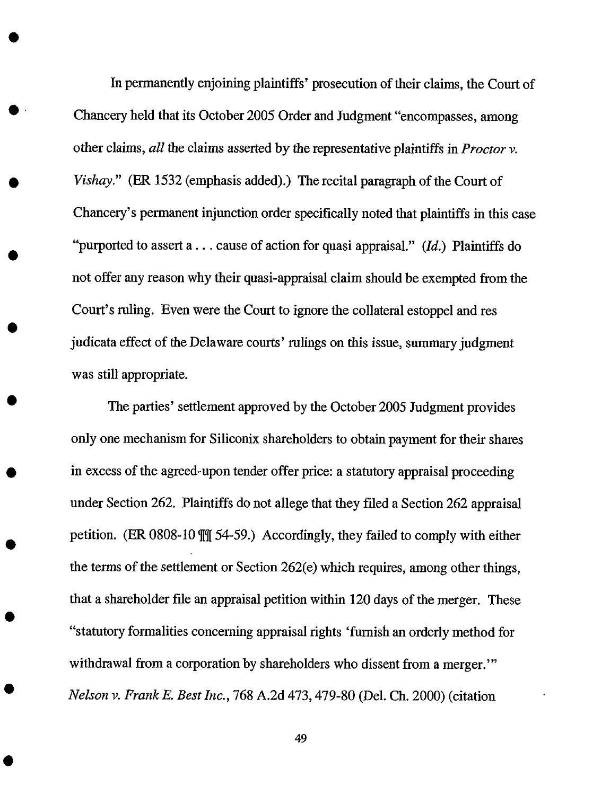In permanently enjoining plaintiffs' prosecution of **their** claims, the Court **of** Chancery held that its October 2005 Order and Judgment "encompasses, among other claims, *all* the claims asserted by the representative plaintiffs in *Proctor v. Vishay."* (ER 1532 (emphasis added).) The recital paragraph of the Court of Chancery's permanent injunction order specifically noted that plaintiffs in this case "purported to assert a ... cause of action for quasi appraisal." (Id.) Plaintiffs do not offer any reason why their quasi-appraisal claim should be exempted from the Court's ruling. Even were the Court to ignore the collateral estoppel and res judicata effect of the Delaware courts' rulings on this issue, summary judgment was still appropriate.

The parties' settlement approved by **the** October 2005 Judgment provides only one mechanism for Siliconix shareholders to obtain payment for their shares in excess of the agreed-upon tender offer price: a statutory appraisal proceeding under Section 262. Plaintiffs do not allege that they filed a Section 262 appraisal petition. (ER 0808-10  $\frac{m}{34}$  54-59.) Accordingly, they failed to comply with either the terms of the *settlement* or Section 262(e) which requires, among other things, that a shareholder file an appraisal petition within 120 days of the merger. These "statutory formalities concerning appraisal rights 'furnish an orderly method for withdrawal from a corporation by shareholders who dissent from a merger." *Nelson v. Frank E. Best Inc.,* 768 A.2d 473,479-80 (Del. Ch. 2000) (citation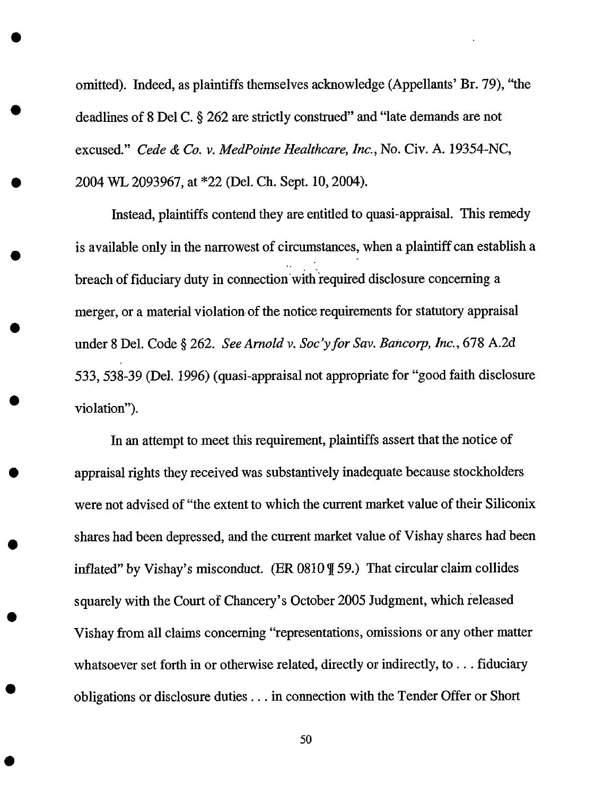omitted). Indeed, as plaintiffs themselves acknowledge (Appellants' Br. 79), "the deadlines of 8 Del C. § 262 are strictly construed" and "late demands are not excused." *Cede & Co. v. MedPointe Healthcare, Inc.,* No. Cir. *A.* 19354-NC, 2004 WL 2093967, at \*22 (Del. Ch. Sept. 10, 2004).

Instead, plaintiffs contend they are entitled to quasi-appraisal. This remedy is available only in the narrowest of circumstances, when a plaintiff can establish a *o°* breach of fiduciary duty in connection with required disclosure concerning a merger, or a material violation of the notice requirements for statutory appraisal under 8 Del. Code § 262. *See Arnold v. Soc'yfor Sav. Bancorp, lnc.,* 678 *A.2d* 533, 538-39 (Del. 1996) (quasi-appraisal not appropriate for "good faith disclosure violation").

In an attempt to meet this requirement, plaintiffs assert that the notice of appraisal rights they received was substantively inadequate because stockholders were not advised of "the extent to which the current market value of their Siliconix shares had been depressed, and the current market value of Vishay shares had been inflated" by Vishay's misconduct. (ER  $0810$   $\text{\%}$  59.) That circular claim collides squarely with the Court of Chancery's October 2005 Judgment, which released Vishay from all claims concerning "representations, omissions or any other matter whatsoever set forth in or otherwise related, directly or indirectly, to . . . fiduciary obligations or disclosure duties.., in connection with the Tender Offer or Short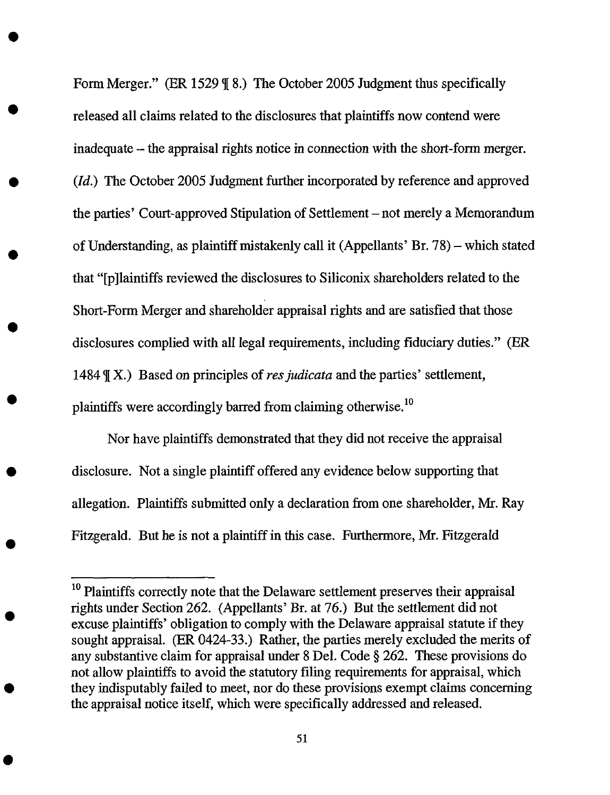Form Merger." (ER 1529  $\parallel$  8.) The October 2005 Judgment thus specifically released all claims related to the disclosures that plaintiffs now contend were inadequate – the appraisal rights notice in connection with the short-form merger. (Id.) The October 2005 Judgment further incorporated by reference and approved the parties' Court-approved Stipulation of Settlement – not merely a Memorandum of Understanding, as plaintiff mistakenly call it (Appellants' Br. 78) - which stated that "[p]laintiffs reviewed the disclosures to Siliconix shareholders related to the Short-Form Merger and shareholder appraisal rights and are satisfied that those disclosures complied with all legal requirements, including fiduciary duties." (ER 1484  $\mathcal{J}(X)$ .) Based on principles of *res judicata* and the parties' settlement, plaintiffs were accordingly barred from claiming otherwise.<sup>10</sup>

Nor have plaintiffs demonstrated that they did not receive the appraisal disclosure. Not a single plaintiff offered any evidence below supporting that allegation. Plaintiffs submitted only a declaration from one shareholder, Mr. Ray Fitzgerald. But he is not a plaintiff in this case. Furthermore, Mr. Fitzgerald

<sup>&</sup>lt;sup>10</sup> Plaintiffs correctly note that the Delaware settlement preserves their appraisal rights under Section 262. (Appellants' *Br.* at 76.) But *the* settlement did not excuse plaintiffs' obligation to comply with the Delaware appraisal statute if they sought appraisal. (ER 0424-33.) Rather, the parties merely excluded the merits of any substantive claim for appraisal under 8 Del. Code § 262. These provisions do not allow plaintiffs to avoid the statutory filing requirements for appraisal, which they indisputably failed to meet, nor do these provisions exempt claims concerning the appraisal notice itself, which were specifically addressed and released.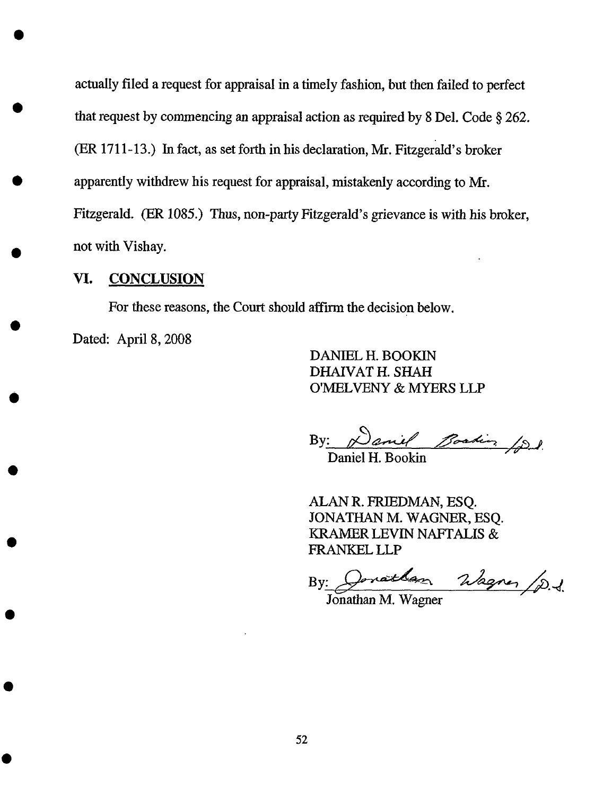actually filed a request for appraisal in a timely fashion, but then failed to perfect that request by commencing an appraisal action as required by 8 Del. Code § 262. (ER 1711-13.) In fact, as set forth in his declaration, Mr. Fitzgerald's broker apparently withdrew his request for appraisal, mistakenly according to Mr. Fitzgerald. (ER 1085.) Thus, non-party Fitzgerald's grievance is with his broker, not with Vishay.

### Vl. CONCLUSION

For these reasons, the Court should affirm the decision below.

Dated: April 8, 2008

DANIEL H. BOOKIN DHAIVAT H. SHAH O'MELVENY & MYERS LLP

By: *<u>Paniel Boating (p)</u>* 

Daniel H. Bookin

ALAN R. FRIEDMAN, ESQ. JONATHAN M. WAGNER, ESQ. *KRAMER* LEVIN NAFTALIS & FRANKEL LLP

Wagner /p.d. Jonathan  $\mathbf{By:}$ 

Jonathan M. Wagner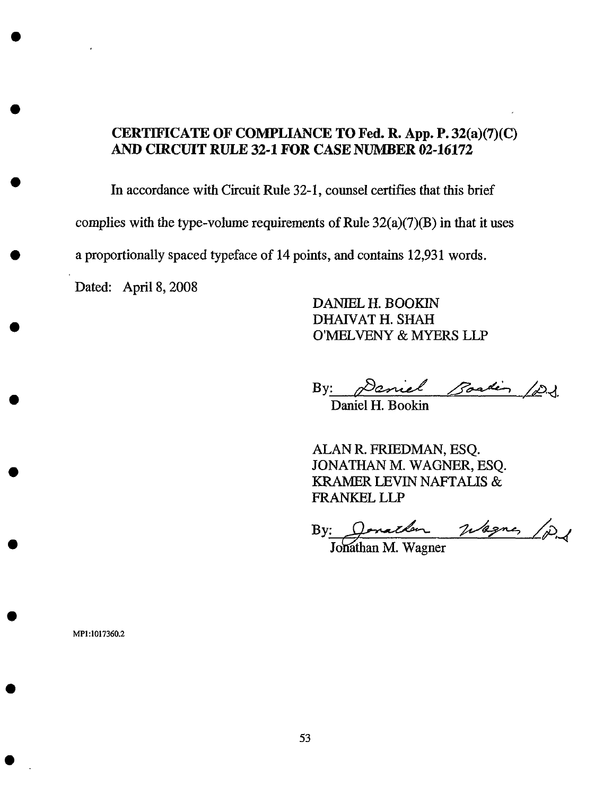# **CERTIFICATE OF COMPLIANCE TO Fed. R. App. P.** 32(a)(7)(C) **AND CIRCUIT RULE 32-1 FOR CASE NUMBER 02-16172**

In **accordance** with Circuit Rule 32-1, counsel certifies that this brief *complies* with the type-volume requirements of Rule 32(a)(7)(B) in that it uses **a** proportionally spaced typeface of 14 points, and contains 12,931 words.

Dated: April 8, 2008

DANIEL H. BOOKIN DHAIVAT H. SHAH O'MELVENY & MYERS LLP

By: <u>Paniel Bastin (D.J.</u>

Daniel H. Bookin

ALAN R. FRIEDMAN, ESQ. JONATHAN M. WAGNER, ESQ. *KRAMER* LEVIN NAFTALIS & FRANKEL LLP

By: Donather Wagne, 12<br>Jonathan M. Wagner

**MP1:1017360.2**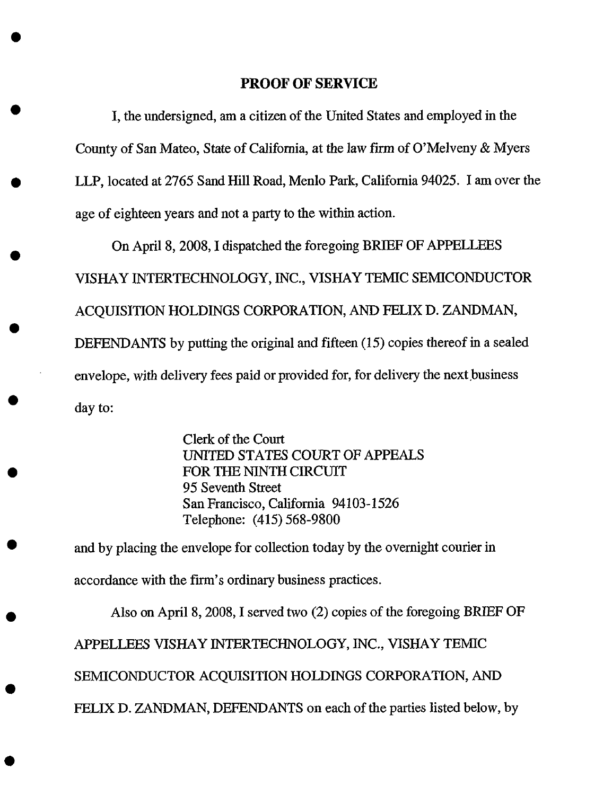### **PROOF** OF **SERVICE**

I, the undersigned, am a citizen of the United States and employed in the County of San Mateo, State of California, at the law **firm** of *O'Melveny* & Myers LLP, located at 2765 Sand Hill Road, Menlo Park, California 94025. I am over the age of eighteen years and **not** a party to the within action.

On April 8, 2008, I dispatched the foregoing BRIEF OF APPELLEES VISHAY INTERTECHNOLOGY, INC., VISHAY TEMIC SEMICONDUCTOR ACQUISITION HOLDINGS CORPORATION, AND FELIX D. *ZANDMAN,* DEFENDANTS by putting the original and fifteen (15) copies thereof in a sealed envelope, with delivery fees paid or provided for, for delivery the next business day to:

> Clerk of the Court UN!TED STATES COURT OF *APPEALS* FOR THE NINTH CIRCUIT 95 Seventh Street San Francisco, California 94103-1526 Telephone: (415) 568-9800

and by placing the envelope for collection today by the overnight courier in accordance with the firm's ordinary business practices.

Also on April 8, 2008, I served two (2) copies of the foregoing *BR!EF* OF *APPELLEES* VISHAY INTERTECHNOLOGY, INC., VISHAY TEMIC SEMICONDUCTOR ACQUISITION HOLDINGS CORPORATION, AND FELIX D. *ZANDMAN,* DEFENDANTS on each of the parties listed below, by